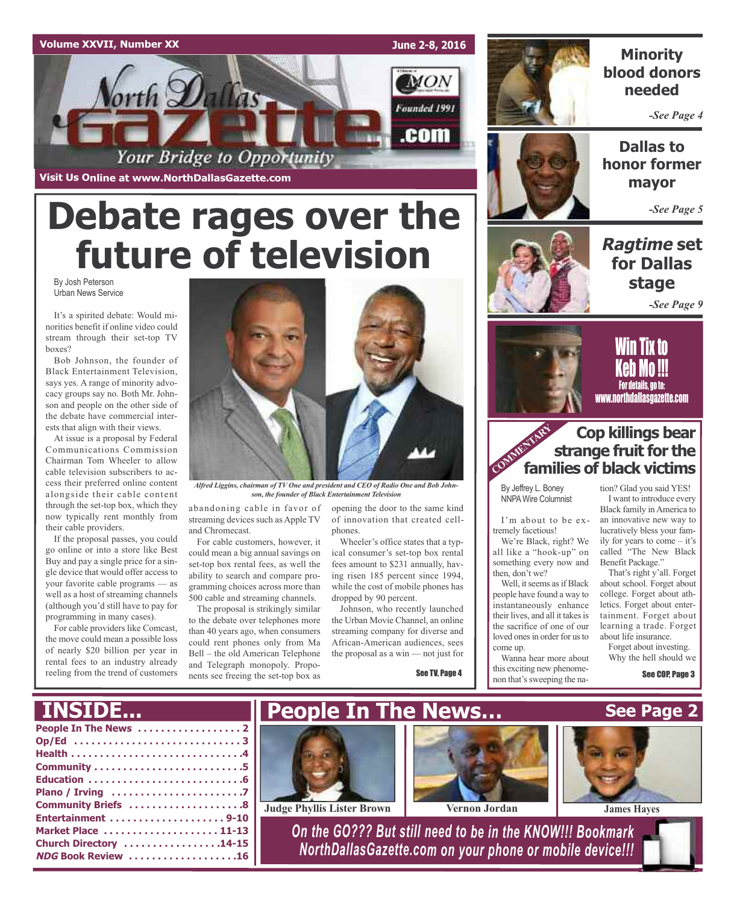### **Volume XXVII, Number XX**

**Visit Us Online at www.NorthDallasGazette.com**

*Vorth Dallas* 

**June 2-8, 2016**

**MON** 

Founded 1991

.com



### **Minority blood donors needed**

*-See Page 4*



**Dallas to honor former mayor**

*-See Page 5*

### **Ragtime set for Dallas stage**

*-See Page 9*



<u>Will tix to</u> Keb Mo !!! For details, go to: www.northdallasgazette.com

### **Cop killings bear strange fruit for the families of black victims**

By Jeffrey L. Boney NNPAWire Columnist

I'm about to be extremely facetious!

We're Black, right? We all like a "hook-up" on something every now and then, don't we?

Well, it seems as if Black people have found a way to instantaneously enhance their lives, and all it takes is the sacrifice of one of our loved ones in order for us to come up.

Wanna hear more about this exciting new phenomenon that's sweeping the nation? Glad you said YES! I want to introduce every Black family inAmerica to an innovative new way to lucratively bless your family for years to come – it's called "The New Black

Benefit Package." That's right y'all. Forget about school. Forget about college. Forget about athletics. Forget about entertainment. Forget about learning a trade. Forget about life insurance.

Forget about investing. Why the hell should we

See COP, Page 3

By Josh Peterson **Debate rages over the future of television**

Your Bridge to Opportunity

Urban News Service

It's a spirited debate: Would minorities benefit if online video could stream through their set-top TV boxes?

Bob Johnson, the founder of Black Entertainment Television, says yes. A range of minority advocacy groups say no. Both Mr. Johnson and people on the other side of the debate have commercial interests that align with their views.

At issue is a proposal by Federal Communications Commission Chairman Tom Wheeler to allow cable television subscribers to access their preferred online content alongside their cable content through the set-top box, which they now typically rent monthly from their cable providers.

If the proposal passes, you could go online or into a store like Best Buy and pay a single price for a single device that would offer access to your favorite cable programs — as well as a host of streaming channels (although you'd still have to pay for programming in many cases).

For cable providers like Comcast, the move could mean a possible loss of nearly \$20 billion per year in rental fees to an industry already reeling from the trend of customers

**Church Directory . . . . . . . . . . . . . . . . .14-15 NDG Book Review . . . . . . . . . . . . . . . . . . .16**



*Alfred Liggins, chairman of TV One and president and CEO of Radio One and Bob Johnson, the founder of Black Entertainment Television*

abandoning cable in favor of streaming devices such as Apple TV and Chromecast.

For cable customers, however, it could mean a big annual savings on set-top box rental fees, as well the ability to search and compare programming choices across more than 500 cable and streaming channels.

The proposal is strikingly similar to the debate over telephones more than 40 years ago, when consumers could rent phones only from Ma Bell – the old American Telephone and Telegraph monopoly. Proponents see freeing the set-top box as

opening the door to the same kind of innovation that created cellphones.

Wheeler's office states that a typical consumer's set-top box rental fees amount to \$231 annually, having risen 185 percent since 1994, while the cost of mobile phones has dropped by 90 percent.

Johnson, who recently launched the Urban Movie Channel, an online streaming company for diverse and African-American audiences, sees the proposal as a win — not just for

See TV, Page 4



*NorthDallasGazette.com on your phone or mobile device!!!*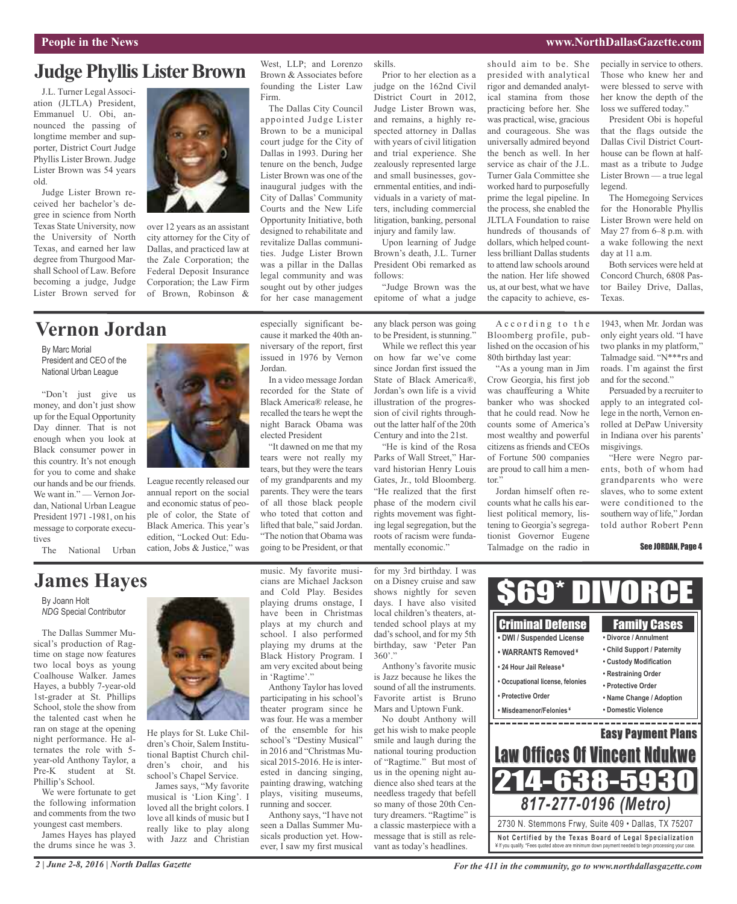### **Judge Phyllis Lister Brown**

J.L. Turner Legal Association (JLTLA) President, Emmanuel U. Obi, announced the passing of longtime member and supporter, District Court Judge Phyllis Lister Brown. Judge Lister Brown was 54 years old.

Judge Lister Brown received her bachelor's degree in science from North Texas State University, now the University of North Texas, and earned her law degree from Thurgood Marshall School of Law. Before becoming a judge, Judge Lister Brown served for



over 12 years as an assistant city attorney for the City of Dallas, and practiced law at the Zale Corporation; the Federal Deposit Insurance Corporation; the Law Firm of Brown, Robinson &

### **Vernon Jordan**

By Marc Morial President and CEO of the National Urban League

"Don't just give us money, and don't just show up for the Equal Opportunity Day dinner. That is not enough when you look at Black consumer power in this country. It's not enough for you to come and shake our hands and be our friends. We want in." — Vernon Jordan, National Urban League President 1971 -1981, on his message to corporate executives

The National Urban

League recently released our annual report on the social and economic status of people of color, the State of Black America. This year's edition, "Locked Out: Education, Jobs & Justice," was West, LLP; and Lorenzo Brown & Associates before founding the Lister Law

Firm. The Dallas City Council appointed Judge Lister Brown to be a municipal court judge for the City of Dallas in 1993. During her tenure on the bench, Judge Lister Brown was one of the inaugural judges with the City of Dallas' Community Courts and the New Life Opportunity Initiative, both designed to rehabilitate and revitalize Dallas communities. Judge Lister Brown was a pillar in the Dallas legal community and was sought out by other judges for her case management

especially significant because it marked the 40th anniversary of the report, first issued in 1976 by Vernon

In a video message Jordan recorded for the State of Black America® release, he recalled the tears he wept the night Barack Obama was

"It dawned on me that my tears were not really my tears, but they were the tears of my grandparents and my parents. They were the tears of all those black people who toted that cotton and lifted that bale," said Jordan. "The notion that Obama was going to be President, or that

Jordan.

elected President

skills. Prior to her election as a

judge on the 162nd Civil District Court in 2012, Judge Lister Brown was, and remains, a highly respected attorney in Dallas with years of civil litigation and trial experience. She zealously represented large and small businesses, governmental entities, and individuals in a variety of matters, including commercial litigation, banking, personal injury and family law.

Upon learning of Judge Brown's death, J.L. Turner President Obi remarked as follows:

"Judge Brown was the epitome of what a judge

any black person was going to be President, is stunning."

While we reflect this year on how far we've come since Jordan first issued the State of Black America®, Jordan's own life is a vivid illustration of the progression of civil rights throughout the latter half of the 20th Century and into the 21st.

"He is kind of the Rosa Parks of Wall Street," Harvard historian Henry Louis Gates, Jr., told Bloomberg. "He realized that the first phase of the modern civil rights movement was fighting legal segregation, but the roots of racism were fundamentally economic."

tor."

should aim to be. She presided with analytical rigor and demanded analytical stamina from those practicing before her. She was practical, wise, gracious and courageous. She was universally admired beyond the bench as well. In her service as chair of the J.L. Turner Gala Committee she worked hard to purposefully prime the legal pipeline. In the process, she enabled the JLTLA Foundation to raise hundreds of thousands of dollars, which helped countless brilliant Dallas students to attend law schools around the nation. Her life showed us, at our best, what we have the capacity to achieve, es-

A c c ording to the Bloomberg profile, published on the occasion of his 80th birthday last year: "As a young man in Jim Crow Georgia, his first job was chauffeuring a White banker who was shocked that he could read. Now he counts some of America's most wealthy and powerful citizens asfriends and CEOs of Fortune 500 companies are proud to call him a men-

Jordan himself often recounts what he calls his earliest political memory, listening to Georgia's segregationist Governor Eugene Talmadge on the radio in pecially in service to others. Those who knew her and were blessed to serve with her know the depth of the loss we suffered today."

President Obi is hopeful that the flags outside the Dallas Civil District Courthouse can be flown at halfmast as a tribute to Judge Lister Brown — a true legal legend.

The Homegoing Services for the Honorable Phyllis Lister Brown were held on May 27 from 6–8 p.m. with a wake following the next day at 11 a.m.

Both services were held at Concord Church, 6808 Pastor Bailey Drive, Dallas, Texas.

1943, when Mr. Jordan was only eight years old. "I have two planks in my platform," Talmadge said. "N\*\*\*rs and roads. I'm against the first and for the second."

Persuaded by a recruiter to apply to an integrated college in the north, Vernon enrolled at DePaw University in Indiana over his parents' misgivings.

"Here were Negro parents, both of whom had grandparents who were slaves, who to some extent were conditioned to the southern way of life," Jordan told author Robert Penn

See JORDAN, Page 4

### **James Hayes**

By Joann Holt *NDG* Special Contributor

The Dallas Summer Musical's production of Ragtime on stage now features two local boys as young Coalhouse Walker. James Hayes, a bubbly 7-year-old 1st-grader at St. Phillips School, stole the show from the talented cast when he ran on stage at the opening night performance. He alternates the role with 5 year-old Anthony Taylor, a Pre-K student at St. Phillip's School.

We were fortunate to get the following information and comments from the two youngest cast members.

James Hayes has played the drums since he was 3.



He plays for St. Luke Children's Choir, Salem Institutional Baptist Church children's choir, and his school's Chapel Service.

James says, "My favorite musical is 'Lion King'. I loved all the bright colors. I love all kinds of music but I really like to play along with Jazz and Christian

music. My favorite musicians are Michael Jackson and Cold Play. Besides playing drums onstage, I have been in Christmas plays at my church and school. I also performed playing my drums at the Black History Program. I am very excited about being in 'Ragtime'."

Anthony Taylor has loved participating in his school's theater program since he was four. He was a member of the ensemble for his school's "Destiny Musical" in 2016 and "Christmas Musical 2015-2016. He is interested in dancing singing, painting drawing, watching plays, visiting museums, running and soccer.

Anthony says, "I have not seen a Dallas Summer Musicals production yet. However, I saw my first musical for my 3rd birthday. I was on a Disney cruise and saw shows nightly for seven days. I have also visited local children's theaters, attended school plays at my dad's school, and for my 5th birthday, saw 'Peter Pan  $360'$ "

Anthony's favorite music is Jazz because he likes the sound of all the instruments. Favorite artist is Bruno Mars and Uptown Funk.

No doubt Anthony will get his wish to make people smile and laugh during the national touring production of "Ragtime." But most of us in the opening night audience also shed tears at the needless tragedy that befell so many of those 20th Century dreamers. "Ragtime" is a classic masterpiece with a message that is still as relevant as today's headlines.



*2 | June 2-8, 2016 | North Dallas Gazette*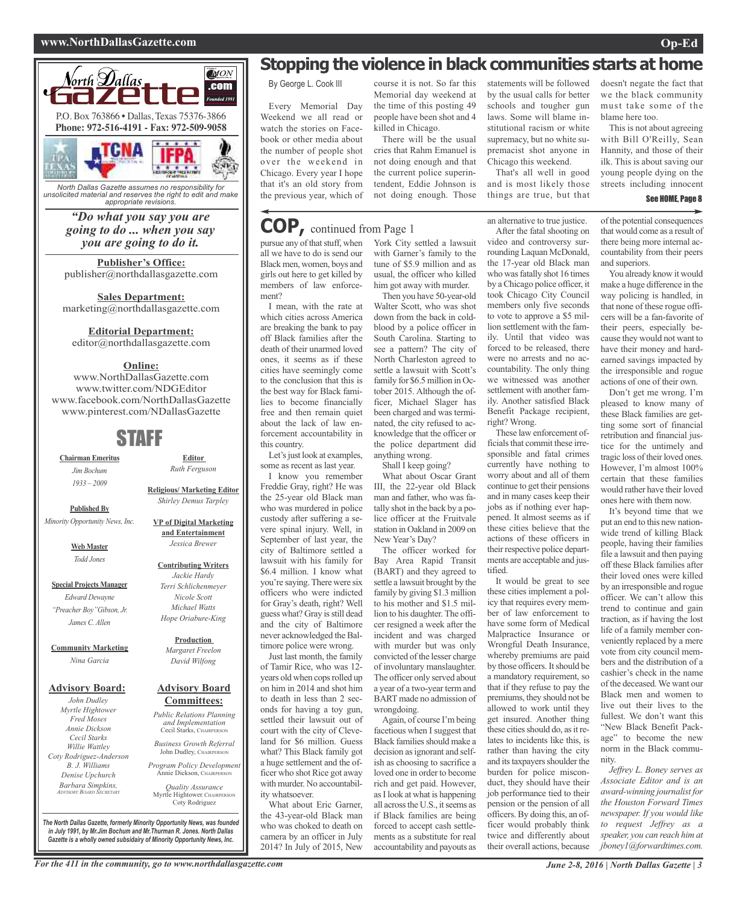#### **www.NorthDallasGazette.com Op-Ed**



*North Dallas Gazette assumes no responsibility for unsolicited material and reserves the right to edit and make appropriate revisions.*

### *"Do what you say you are going to do ... when you say you are going to do it.*

**Publisher's Office:** publisher@northdallasgazette.com

**Sales Department:** marketing@northdallasgazette.com

### **Editorial Department:**

editor@northdallasgazette.com

### **Online:**

www.NorthDallasGazette.com www.twitter.com/NDGEditor www.facebook.com/NorthDallasGazette www.pinterest.com/NDallasGazette

### STAFF

**Chairman Emeritus** *Jim Bochum 1933 – 2009*

**Published By** *Minority Opportunity News, Inc.*

> **Web Master** *Todd Jones*

**Special Projects Manager** *Edward Dewayne "Preacher Boy"Gibson, Jr. James C. Allen*

**Community Marketing** *Nina Garcia*

#### **Advisory Board:**

*John Dudley Myrtle Hightower Fred Moses Annie Dickson Cecil Starks Willie Wattley Coty Rodriguez-Anderson B. J. Williams Denise Upchurch Barbara Simpkins, ADVISORY BOARD SECRETARY*

### **Advisory Board** *Margaret Freelon David Wilfong*

### **Committees:**

*Public Relations Planning and Implementation* Cecil Starks, CHAIRPERSON *Business Growth Referral*

John Dudley, CHAIRPERSON *Program Policy Development*

Annie Dickson, CHAIRPER

*Quality Assurance* Myrtle Hightower, CHAIRPERSON Coty Rodriguez

*The North Dallas Gazette, formerly Minority Opportunity News, was founded in July 1991, by Mr.Jim Bochum and Mr.Thurman R. Jones. North Dallas Gazette is a wholly owned subsidairy of Minority Opportunity News, Inc.*

### **Stopping the violence in black communities starts at home**

By George L. Cook III

Every Memorial Day Weekend we all read or watch the stories on Facebook or other media about the number of people shot over the weekend in Chicago. Every year I hope that it's an old story from the previous year, which of

### **COP,** continued from Page <sup>1</sup>

pursue any of that stuff, when all we have to do is send our Black men, women, boys and girls out here to get killed by members of law enforcement?

I mean, with the rate at which cities across America are breaking the bank to pay off Black families after the death of their unarmed loved ones, it seems as if these cities have seemingly come to the conclusion that this is the best way for Black families to become financially free and then remain quiet about the lack of law enforcement accountability in this country.

Let's just look at examples, some as recent as last year.

I know you remember Freddie Gray, right? He was the 25-year old Black man who was murdered in police custody after suffering a severe spinal injury. Well, in September of last year, the city of Baltimore settled a lawsuit with his family for \$6.4 million. I know what you're saying. There were six officers who were indicted for Gray's death, right? Well guess what? Gray is still dead and the city of Baltimore never acknowledged the Baltimore police were wrong.

Just last month, the family of Tamir Rice, who was 12 years old when cops rolled up on him in 2014 and shot him to death in less than 2 seconds for having a toy gun, settled their lawsuit out of court with the city of Cleveland for \$6 million. Guess what? This Black family got a huge settlement and the officer who shot Rice got away with murder. No accountability whatsoever.

What about Eric Garner, the 43-year-old Black man who was choked to death on camera by an officer in July 2014? In July of 2015, New

Memorial day weekend at the time of this posting 49 people have been shot and 4 killed in Chicago. There will be the usual

course it is not. So far this

cries that Rahm Emanuel is not doing enough and that the current police superintendent, Eddie Johnson is not doing enough. Those

### York City settled a lawsuit with Garner's family to the tune of \$5.9 million and as usual, the officer who killed him got away with murder.

Then you have 50-year-old Walter Scott, who was shot down from the back in coldblood by a police officer in South Carolina. Starting to see a pattern? The city of North Charleston agreed to settle a lawsuit with Scott's family for \$6.5 million in October 2015. Although the officer, Michael Slager has been charged and was terminated, the city refused to acknowledge that the officer or the police department did anything wrong.

Shall I keep going?

What about Oscar Grant III, the 22-year old Black man and father, who was fatally shot in the back by a police officer at the Fruitvale station in Oakland in 2009 on New Year's Day?

The officer worked for Bay Area Rapid Transit (BART) and they agreed to settle a lawsuit brought by the family by giving \$1.3 million to his mother and \$1.5 million to his daughter. The officer resigned a week after the incident and was charged with murder but was only convicted of the lesser charge of involuntary manslaughter. The officer only served about a year of a two-year term and BART made no admission of wrongdoing.

Again, of course I'm being facetious when I suggest that Black families should make a decision as ignorant and selfish as choosing to sacrifice a loved one in order to become rich and get paid. However, asI look at what is happening all across the U.S., it seems as if Black families are being forced to accept cash settlements as a substitute for real accountability and payouts as

statements will be followed by the usual calls for better schools and tougher gun laws. Some will blame institutional racism or white supremacy, but no white supremacist shot anyone in Chicago this weekend.

That's all well in good and is most likely those things are true, but that

an alternative to true justice. After the fatal shooting on video and controversy surrounding Laquan McDonald, the 17-year old Black man who was fatally shot 16 times by a Chicago police officer, it took Chicago City Council members only five seconds to vote to approve a \$5 million settlement with the family. Until that video was forced to be released, there were no arrests and no accountability. The only thing we witnessed was another settlement with another family. Another satisfied Black Benefit Package recipient, right? Wrong.

These law enforcement officials that commit these irresponsible and fatal crimes currently have nothing to worry about and all of them continue to get their pensions and in many cases keep their jobs as if nothing ever happened. It almost seems as if these cities believe that the actions of these officers in their respective police departments are acceptable and justified.

It would be great to see these cities implement a policy that requires every member of law enforcement to have some form of Medical Malpractice Insurance or Wrongful Death Insurance, whereby premiums are paid by those officers. It should be a mandatory requirement, so that if they refuse to pay the premiums, they should not be allowed to work until they get insured. Another thing these cities should do, as it relates to incidents like this, is rather than having the city and its taxpayers shoulder the burden for police misconduct, they should have their job performance tied to their pension or the pension of all officers. By doing this, an officer would probably think twice and differently about their overall actions, because

doesn't negate the fact that we the black community must take some of the blame here too. This is not about agreeing

with Bill O'Reilly, Sean Hannity, and those of their ilk. This is about saving our young people dying on the streets including innocent

#### See HOME, Page 8

of the potential consequences that would come as a result of there being more internal accountability from their peers and superiors.

You already know it would make a huge difference in the way policing is handled, in that none of these rogue officers will be a fan-favorite of their peers, especially because they would not want to have their money and hardearned savings impacted by the irresponsible and rogue actions of one of their own.

Don't get me wrong. I'm pleased to know many of these Black families are getting some sort of financial retribution and financial justice for the untimely and tragic loss of their loved ones. However, I'm almost 100% certain that these families would rather have their loved ones here with them now.

It's beyond time that we put an end to this new nationwide trend of killing Black people, having their families file a lawsuit and then paying off these Black families after their loved ones were killed by an irresponsible and rogue officer. We can't allow this trend to continue and gain traction, as if having the lost life of a family member conveniently replaced by a mere vote from city council members and the distribution of a cashier's check in the name of the deceased.We want our Black men and women to live out their lives to the fullest. We don't want this "New Black Benefit Package" to become the new norm in the Black community.

*Jeffrey L. Boney serves as Associate Editor and is an award-winning journalist for the Houston Forward Times newspaper. If you would like to request Jeffrey as a speaker, you can reach him at jboney1@forwardtimes.com.*



**Contributing Writers** *Jackie Hardy*

**Editor** *Ruth Ferguson*

*Terri Schlichenmeyer Nicole Scott Michael Watts*

### *Hope Oriabure-King*

**Production**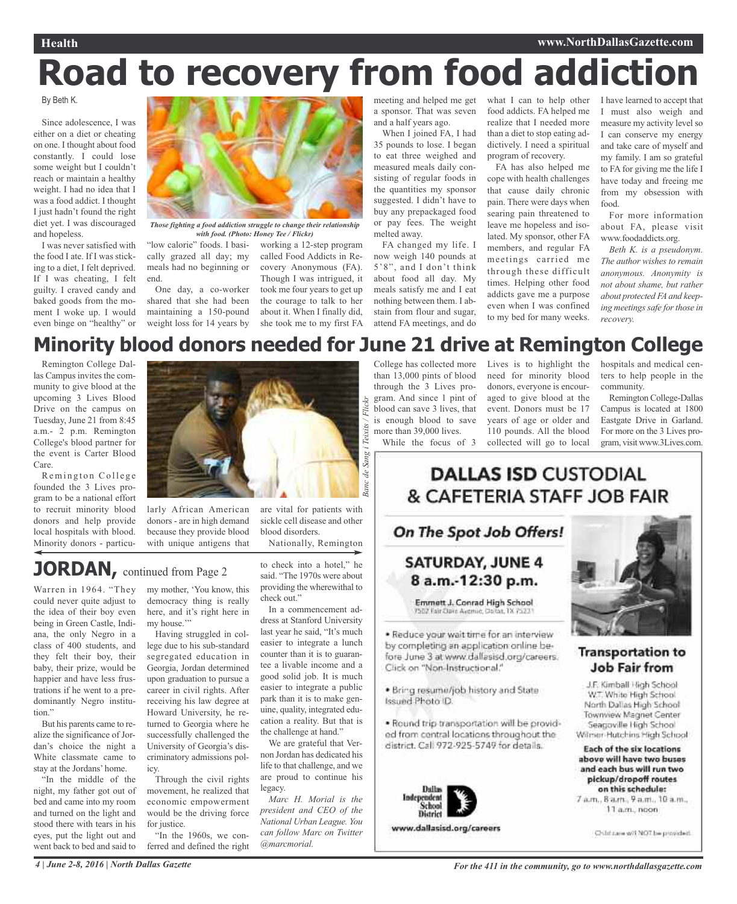### **Health www.NorthDallasGazette.com**

# **Road to recovery from food addiction**

By Beth K.

Since adolescence, I was either on a diet or cheating on one. I thought about food constantly. I could lose some weight but I couldn't reach or maintain a healthy weight. I had no idea that I was a food addict. I thought I just hadn't found the right diet yet. I was discouraged and hopeless.

I was never satisfied with the food I ate. If I was sticking to a diet, I felt deprived. If I was cheating, I felt guilty. I craved candy and baked goods from the moment I woke up. I would even binge on "healthy" or



*Those fighting a food addiction struggle to change their relationship with food. (Photo: Honey Tee / Flickr)*

"low calorie" foods. I basically grazed all day; my meals had no beginning or end.

One day, a co-worker shared that she had been maintaining a 150-pound weight loss for 14 years by

working a 12-step program called Food Addicts in Recovery Anonymous (FA). Though I was intrigued, it took me four years to get up the courage to talk to her about it. When I finally did, she took me to my first FA a sponsor. That was seven and a half years ago.

When I joined FA, I had 35 pounds to lose. I began to eat three weighed and measured meals daily consisting of regular foods in the quantities my sponsor suggested. I didn't have to buy any prepackaged food or pay fees. The weight melted away.

FA changed my life. I now weigh 140 pounds at 5'8", and I don't think about food all day. My meals satisfy me and I eat nothing between them. I abstain from flour and sugar, attend FA meetings, and do

meeting and helped me get what I can to help other I have learned to accept that food addicts. FA helped me realize that I needed more than a diet to stop eating addictively. I need a spiritual program of recovery.

> FA has also helped me cope with health challenges that cause daily chronic pain. There were days when searing pain threatened to leave me hopeless and isolated. My sponsor, other FA members, and regular FA meetings carried me through these difficult times. Helping other food addicts gave me a purpose even when I was confined to my bed for many weeks.

I must also weigh and measure my activity level so I can conserve my energy and take care of myself and my family. I am so grateful to FA for giving me the life I have today and freeing me from my obsession with food.

For more information about FA, please visit www.foodaddicts.org.

*Beth K. is a pseudonym. The author wishes to remain anonymous. Anonymity is not about shame, but rather about protected FA and keeping meetings safe for those in recovery.*

### **Minority blood donors needed for June 21 drive at Remington College**

*Banc de Sang i Teixits / Flickr*

sanc de

Teixits

Remington College Dallas Campus invites the community to give blood at the upcoming 3 Lives Blood Drive on the campus on Tuesday, June 21 from 8:45 a.m.- 2 p.m. Remington College's blood partner for the event is Carter Blood Care.

Remington College founded the 3 Lives program to be a national effort to recruit minority blood donors and help provide local hospitals with blood. Minority donors - particu-



larly African American donors - are in high demand because they provide blood with unique antigens that

are vital for patients with sickle cell disease and other blood disorders.

Nationally, Remington

### **JORDAN**, continued from Page 2

Warren in 1964. "They could never quite adjust to the idea of their boy even being in Green Castle, Indiana, the only Negro in a class of 400 students, and they felt their boy, their baby, their prize, would be happier and have less frustrations if he went to a predominantly Negro institution"

But his parents came to realize the significance of Jordan's choice the night a White classmate came to stay at the Jordans' home.

"In the middle of the night, my father got out of bed and came into my room and turned on the light and stood there with tears in his eyes, put the light out and went back to bed and said to

my mother, 'You know, this democracy thing is really here, and it's right here in my house."

Having struggled in college due to his sub-standard segregated education in Georgia, Jordan determined upon graduation to pursue a career in civil rights. After receiving his law degree at Howard University, he returned to Georgia where he successfully challenged the University of Georgia's discriminatory admissions policy.

Through the civil rights movement, he realized that economic empowerment would be the driving force for justice.

"In the 1960s, we conferred and defined the right

to check into a hotel," he said. "The 1970s were about providing the wherewithal to check out."

In a commencement address at Stanford University last year he said, "It's much easier to integrate a lunch counter than it is to guarantee a livable income and a good solid job. It is much easier to integrate a public park than it is to make genuine, quality, integrated education a reality. But that is the challenge at hand."

We are grateful that Vernon Jordan has dedicated his life to that challenge, and we are proud to continue his legacy.

*Marc H. Morial is the president and CEO of the National Urban League. You can follow Marc on Twitter @marcmorial.*

College has collected more than 13,000 pints of blood through the 3 Lives program. And since 1 pint of blood can save 3 lives, that is enough blood to save more than 39,000 lives.

While the focus of 3

Lives is to highlight the need for minority blood donors, everyone is encouraged to give blood at the event. Donors must be 17 years of age or older and 110 pounds. All the blood collected will go to local

hospitals and medical centers to help people in the community.

Remington College-Dallas Campus is located at 1800 Eastgate Drive in Garland. For more on the 3 Lives program, visit www.3Lives.com.

### **DALLAS ISD CUSTODIAL** & CAFETERIA STAFF JOB FAIR

### On The Spot Job Offers!

**SATURDAY, JUNE 4** 8 a.m.-12:30 p.m.

Emmett J. Conrad High School 7502 Fair Oave Ayemie, Ooltat, TX 7523

. Reduce your wait time for an interview by completing an application online before June 3 at www.dallasisd.org/careers. Click on "Non-Instructional."

. Bring resume/job history and State Issued Photo ID.

. Round trip transportation will be provided from central locations throughout the district. Call 972-925-5749 for details.



www.dallasisd.org/careers



### **Transportation to** Job Fair from

J.F. Kimball High School W.T. White High School North Dallas High School Townview Magnet Center Seagoville High School Wilmer-Hutchins High School

**Each of the six locations** above will have two buses and each bus will run two pickup/dropoff routes on this schedule: 7 a.m., 8 a.m., 9 a.m., 10 a.m., 11 a.m., noon

Children will NOT be provided.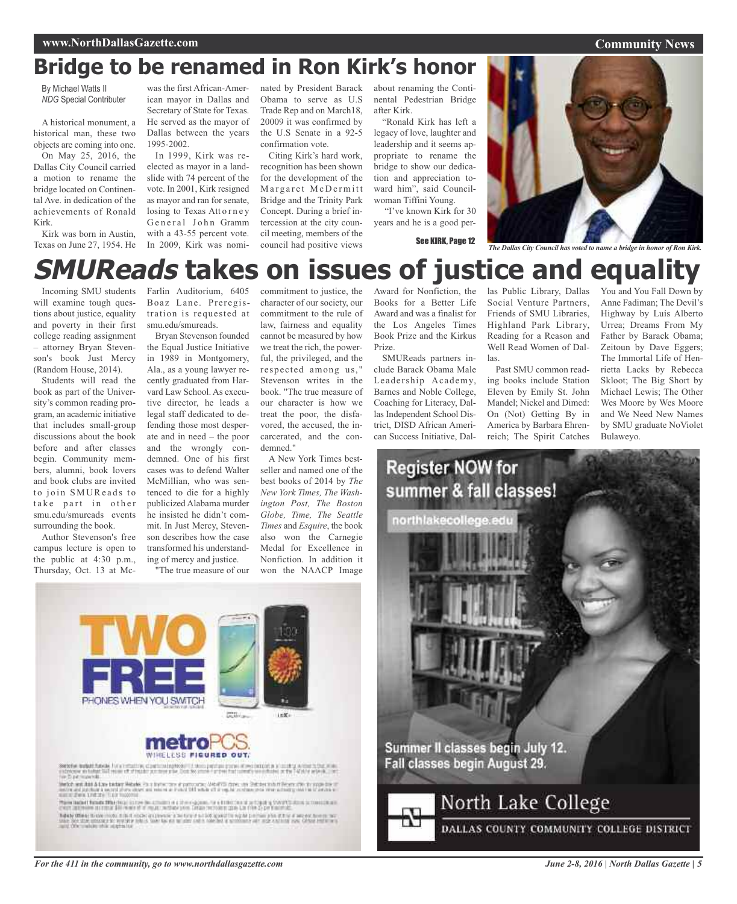## **Bridge to be renamed in Ron Kirk's honor**

By Michael Watts II *NDG* Special Contributer

A historical monument, a historical man, these two objects are coming into one.

On May 25, 2016, the Dallas City Council carried a motion to rename the bridge located on Continental Ave. in dedication of the achievements of Ronald Kirk.

Kirk was born in Austin, Texas on June 27, 1954. He

was the first African-American mayor in Dallas and Secretary of State for Texas. He served as the mayor of Dallas between the years 1995-2002.

In 1999, Kirk was reelected as mayor in a landslide with 74 percent of the vote. In 2001, Kirk resigned as mayor and ran for senate, losing to Texas Attorney General John Gramm with a 43-55 percent vote. In 2009, Kirk was nominated by President Barack Obama to serve as U.S Trade Rep and on March18, 20009 it was confirmed by the U.S Senate in a 92-5 confirmation vote.

Citing Kirk's hard work, recognition has been shown for the development of the Margaret McDermitt Bridge and the Trinity Park Concept. During a brief intercession at the city council meeting, members of the council had positive views

about renaming the Continental Pedestrian Bridge after Kirk.

"Ronald Kirk has left a legacy of love, laughter and leadership and it seems appropriate to rename the bridge to show our dedication and appreciation toward him", said Councilwoman Tiffini Young.

"I've known Kirk for 30 years and he is a good per-



**Community News**

## **SMUReads takes on issues of justice and equality**

Incoming SMU students will examine tough questions about justice, equality and poverty in their first college reading assignment – attorney Bryan Stevenson's book Just Mercy (Random House, 2014).

Students will read the book as part of the University's common reading program, an academic initiative that includes small-group discussions about the book before and after classes begin. Community members, alumni, book lovers and book clubs are invited to join SMUReads to take part in other smu.edu/smureads events surrounding the book.

Author Stevenson's free campus lecture is open to the public at 4:30 p.m., Thursday, Oct. 13 at McFarlin Auditorium, 6405 Boaz Lane. Preregistration is requested at smu.edu/smureads.

Bryan Stevenson founded the Equal Justice Initiative in 1989 in Montgomery, Ala., as a young lawyer recently graduated from Harvard Law School. As executive director, he leads a legal staff dedicated to defending those most desperate and in need – the poor and the wrongly condemned. One of his first cases was to defend Walter McMillian, who was sentenced to die for a highly publicized Alabama murder he insisted he didn't commit. In Just Mercy, Stevenson describes how the case transformed his understanding of mercy and justice.

"The true measure of our

commitment to justice, the character of our society, our commitment to the rule of law, fairness and equality cannot be measured by how we treat the rich, the powerful, the privileged, and the respected among us, " Stevenson writes in the book. "The true measure of our character is how we treat the poor, the disfavored, the accused, the incarcerated, and the condemned<sup>'</sup>

A New York Times bestseller and named one of the best books of 2014 by *The New York Times, The Washington Post, The Boston Globe, Time, The Seattle Times* and *Esquire*, the book also won the Carnegie Medal for Excellence in Nonfiction. In addition it won the NAACP Image

Award for Nonfiction, the las Public Library, Dallas Books for a Better Life Award and was a finalist for the Los Angeles Times Book Prize and the Kirkus Prize.

SMUReads partners include Barack Obama Male Leadership Academy, Barnes and Noble College, Coaching for Literacy, Dallas Independent School District, DISD African American Success Initiative, Dal-

**Register NOW for** 

Social Venture Partners, Friends of SMU Libraries, Highland Park Library, Reading for a Reason and Well Read Women of Dallas.

Past SMU common reading books include Station Eleven by Emily St. John Mandel; Nickel and Dimed: On (Not) Getting By in America by Barbara Ehrenreich; The Spirit Catches

You and You Fall Down by Anne Fadiman; The Devil's Highway by Luís Alberto Urrea; Dreams From My Father by Barack Obama; Zeitoun by Dave Eggers; The Immortal Life of Henrietta Lacks by Rebecca Skloot; The Big Short by Michael Lewis; The Other Wes Moore by Wes Moore and We Need New Names by SMU graduate NoViolet Bulaweyo.

summer & fall classes! northlakecollege Summer II classes begin July 12. Fall classes begin August 29. North Lake College

DALLAS COUNTY COMMUNITY COLLEGE DISTRICT



**Sendie Audulf Results For a Terratory of**<br>Introduce in future SUI record of of Future

likelide wat had A Law bedage Matyles Pa is by two term at particulars, Weights dates, and Substantiant I<br>Instituted but that a world plane show and read or a child OH while off a regular and manuscale area and<br>Instituted

These backet family fifted to a lost be a matter of a transporter of a finite than a subspace from the constants of (there are more stational \$50 m and of a mount method production further constant and the 2-per function.)<br>There offers the new code, this it could gappers in the top it is not good to sight perform who it the it are not h

*For the 411 in the community, go to www.northdallasgazette.com*

*June 2-8, 2016 | North Dallas Gazette | 5*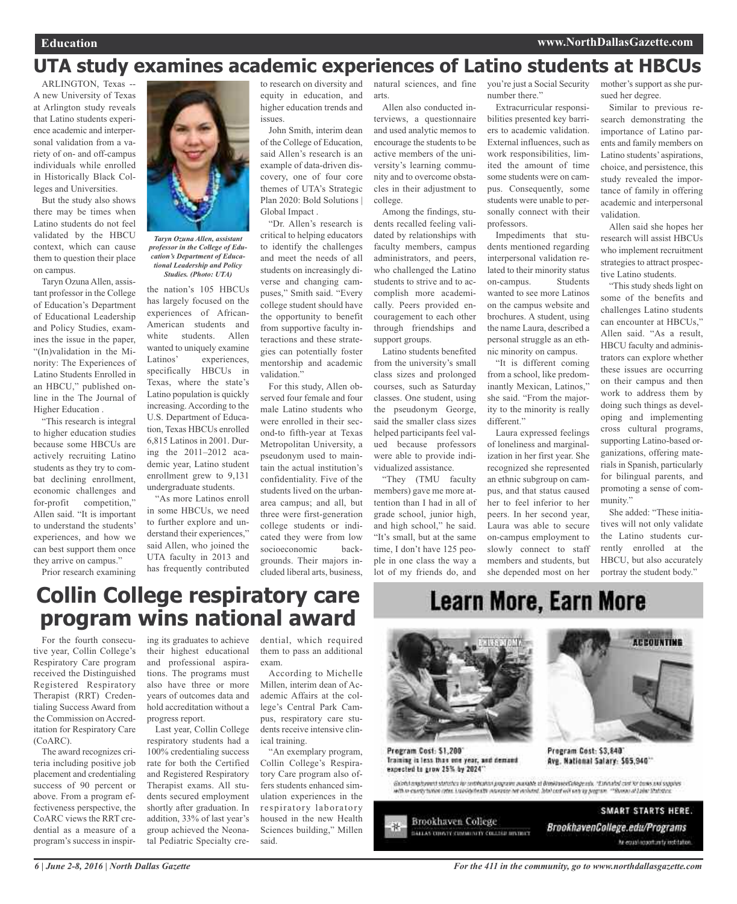### **UTA study examines academic experiences of Latino students at HBCUs**

ARLINGTON, Texas -- A new University of Texas at Arlington study reveals that Latino students experience academic and interpersonal validation from a variety of on- and off-campus individuals while enrolled in Historically Black Colleges and Universities.

But the study also shows there may be times when Latino students do not feel validated by the HBCU context, which can cause them to question their place on campus.

Taryn Ozuna Allen, assistant professor in the College of Education's Department of Educational Leadership and Policy Studies, examines the issue in the paper, "(In)validation in the Minority: The Experiences of Latino Students Enrolled in an HBCU," published online in the The Journal of Higher Education .

"This research is integral to higher education studies because some HBCUs are actively recruiting Latino students as they try to combat declining enrollment, economic challenges and for-profit competition," Allen said. "It is important to understand the students' experiences, and how we can best support them once they arrive on campus."

Prior research examining



*professor in the College of Education's Department of Educational Leadership and Policy Studies. (Photo: UTA)*

the nation's 105 HBCUs has largely focused on the experiences of African-American students and white students. Allen wanted to uniquely examine Latinos' experiences, specifically HBCUs in Texas, where the state's Latino population is quickly increasing. According to the U.S. Department of Education, Texas HBCUs enrolled 6,815 Latinos in 2001. During the 2011–2012 academic year, Latino student enrollment grew to 9,131 undergraduate students.

"As more Latinos enroll in some HBCUs, we need to further explore and understand their experiences," said Allen, who joined the UTA faculty in 2013 and has frequently contributed

to research on diversity and equity in education, and higher education trends and issues.

John Smith, interim dean of the College of Education, said Allen's research is an example of data-driven discovery, one of four core themes of UTA's Strategic Plan 2020: Bold Solutions | Global Impact .

"Dr. Allen's research is critical to helping educators to identify the challenges and meet the needs of all students on increasingly diverse and changing campuses," Smith said. "Every college student should have the opportunity to benefit from supportive faculty interactions and these strategies can potentially foster mentorship and academic validation."

For this study, Allen observed four female and four male Latino students who were enrolled in their second-to fifth-year at Texas Metropolitan University, a pseudonym used to maintain the actual institution's confidentiality. Five of the students lived on the urbanarea campus; and all, but three were first-generation college students or indicated they were from low socioeconomic backgrounds. Their majors included liberal arts, business,

natural sciences, and fine arts.

Allen also conducted interviews, a questionnaire and used analytic memos to encourage the students to be active members of the university's learning community and to overcome obstacles in their adjustment to college. Among the findings, stu-

dents recalled feeling validated by relationships with faculty members, campus administrators, and peers, who challenged the Latino students to strive and to accomplish more academically. Peers provided encouragement to each other through friendships and support groups.

Latino students benefited from the university's small class sizes and prolonged courses, such as Saturday classes. One student, using the pseudonym George, said the smaller class sizes helped participants feel valued because professors were able to provide individualized assistance.

"They (TMU faculty members) gave me more attention than I had in all of grade school, junior high, and high school," he said. "It's small, but at the same time, I don't have 125 people in one class the way a lot of my friends do, and

you're just a Social Security number there."

Extracurricular responsibilities presented key barriers to academic validation. External influences, such as work responsibilities, limited the amount of time some students were on campus. Consequently, some students were unable to personally connect with their professors.

Impediments that students mentioned regarding interpersonal validation related to their minority status on-campus. Students wanted to see more Latinos on the campus website and brochures. A student, using the name Laura, described a personal struggle as an ethnic minority on campus.

"It is different coming from a school, like predominantly Mexican, Latinos," she said. "From the majority to the minority is really different."

Laura expressed feelings of loneliness and marginalization in her first year. She recognized she represented an ethnic subgroup on campus, and that status caused her to feel inferior to her peers. In her second year, Laura was able to secure on-campus employment to slowly connect to staff members and students, but she depended most on her mother's support as she pursued her degree.

Similar to previous research demonstrating the importance of Latino parents and family members on Latino students' aspirations, choice, and persistence, this study revealed the importance of family in offering academic and interpersonal validation.

Allen said she hopes her research will assist HBCUs who implement recruitment strategies to attract prospective Latino students.

"This study sheds light on some of the benefits and challenges Latino students can encounter at HBCUs," Allen said. "As a result, HBCU faculty and administrators can explore whether these issues are occurring on their campus and then work to address them by doing such things as developing and implementing cross cultural programs, supporting Latino-based organizations, offering materials in Spanish, particularly for bilingual parents, and promoting a sense of community."

She added: "These initiatives will not only validate the Latino students currently enrolled at the HBCU, but also accurately portray the student body."

**ACCOUNTING** 

### **Collin College respiratory care program wins national award**

For the fourth consecutive year, Collin College's Respiratory Care program received the Distinguished Registered Respiratory Therapist (RRT) Credentialing Success Award from the Commission on Accreditation for Respiratory Care (CoARC).

The award recognizes criteria including positive job placement and credentialing success of 90 percent or above. From a program effectiveness perspective, the CoARC views the RRT credential as a measure of a program's success in inspir-

ing its graduates to achieve their highest educational and professional aspirations. The programs must also have three or more years of outcomes data and hold accreditation without a progress report.

Last year, Collin College respiratory students had a 100% credentialing success rate for both the Certified and Registered Respiratory Therapist exams. All students secured employment shortly after graduation. In addition, 33% of last year's group achieved the Neonatal Pediatric Specialty credential, which required them to pass an additional exam.

According to Michelle Millen, interim dean of Academic Affairs at the college's Central Park Campus, respiratory care students receive intensive clinical training.

"An exemplary program, Collin College's Respiratory Care program also offers students enhanced simulation experiences in the respiratory laboratory housed in the new Health Sciences building," Millen said.

## **Learn More, Earn More**



Program Cost: \$1,200 Iraining in less than one year, and demand expected to grow 25% by 2024"

Global anglowed statistics in certification programs awardate of diminue claimpe edu. "Exhibited cost for bones and supplies with to cannot turing rates. List objects the manager het mobiled. John can will will as a program, ""Bunan of Lobar Statistics

SMART STARTS HERE. **Brookhaven College** 淋. BrookhavenCollege.edu/Programs **DALLAS CONTECIMINATY COLLEGE DIVINET** he equal apportunity institution.

Program Cost: \$3,840

Avg. National Salary: \$65,940\*\*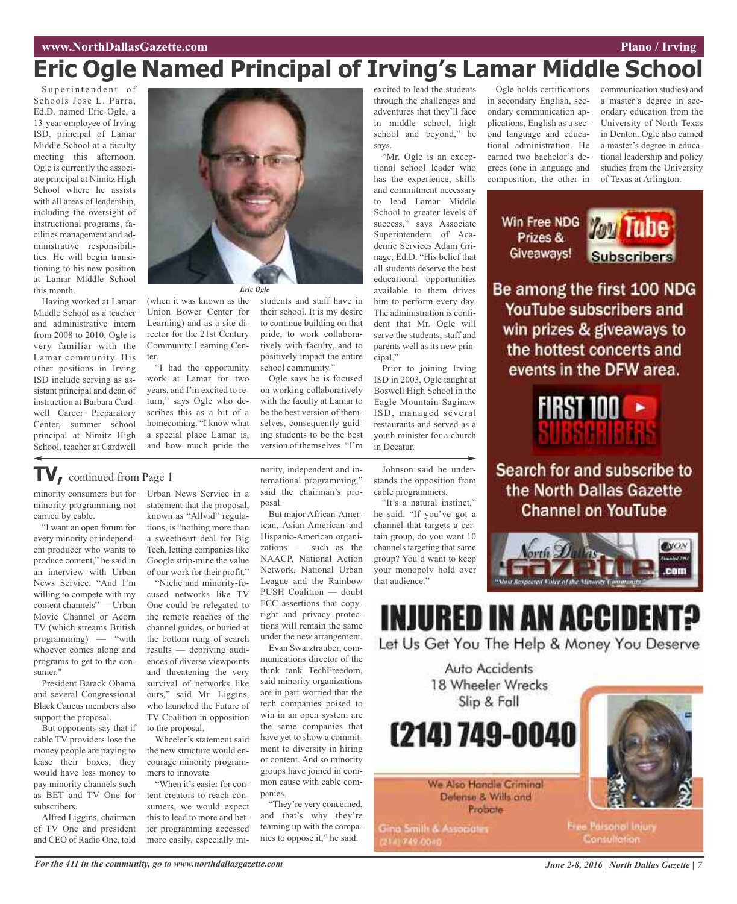### **www.NorthDallasGazette.com Plano** / **Irving**

## **Eric Ogle Named Principal of Irving's Lamar Middle School**

Superintendent of Schools Jose L. Parra, Ed.D. named Eric Ogle, a 13-year employee of Irving ISD, principal of Lamar Middle School at a faculty meeting this afternoon. Ogle is currently the associate principal at Nimitz High School where he assists with all areas of leadership, including the oversight of instructional programs, facilities management and administrative responsibilities. He will begin transitioning to his new position at Lamar Middle School this month.

Having worked at Lamar Middle School as a teacher and administrative intern from 2008 to 2010, Ogle is very familiar with the Lamar community. His other positions in Irving ISD include serving as assistant principal and dean of instruction at Barbara Cardwell Career Preparatory Center, summer school principal at Nimitz High School, teacher at Cardwell



(when it was known as the Union Bower Center for Learning) and as a site director for the 21st Century Community Learning Center.

"I had the opportunity work at Lamar for two years, and I'm excited to return," says Ogle who describes this as a bit of a homecoming. "I know what a special place Lamar is, and how much pride the

### **TV,** continued from Page <sup>1</sup>

minority consumers but for minority programming not carried by cable.

"I want an open forum for every minority or independent producer who wants to produce content," he said in an interview with Urban News Service. "And I'm willing to compete with my content channels" — Urban Movie Channel or Acorn TV (which streams British programming) — "with whoever comes along and programs to get to the consumer."

President Barack Obama and several Congressional Black Caucus members also support the proposal.

But opponents say that if cable TV providers lose the money people are paying to lease their boxes, they would have less money to pay minority channels such as BET and TV One for subscribers.

Alfred Liggins, chairman of TV One and president and CEO of Radio One, told

Urban News Service in a statement that the proposal, known as "Allvid" regulations, is "nothing more than a sweetheart deal for Big Tech, letting companies like Google strip-mine the value of our work for their profit."

"Niche and minority-focused networks like TV One could be relegated to the remote reaches of the channel guides, or buried at the bottom rung of search results — depriving audiences of diverse viewpoints and threatening the very survival of networks like ours," said Mr. Liggins, who launched the Future of TV Coalition in opposition to the proposal.

Wheeler's statement said the new structure would encourage minority programmers to innovate.

"When it's easier for content creators to reach consumers, we would expect this to lead to more and better programming accessed more easily, especially mistudents and staff have in their school. It is my desire to continue building on that pride, to work collaboratively with faculty, and to positively impact the entire school community."

Ogle says he is focused on working collaboratively with the faculty at Lamar to be the best version of themselves, consequently guiding students to be the best version of themselves. "I'm

nority, independent and international programming," said the chairman's proposal.

But major African-American, Asian-American and Hispanic-American organizations — such as the NAACP, National Action Network, National Urban League and the Rainbow PUSH Coalition — doubt FCC assertions that copyright and privacy protections will remain the same under the new arrangement.

Evan Swarztrauber, communications director of the think tank TechFreedom, said minority organizations are in part worried that the tech companies poised to win in an open system are the same companies that have yet to show a commitment to diversity in hiring or content. And so minority groups have joined in common cause with cable companies.

"They're very concerned, and that's why they're teaming up with the companies to oppose it," he said.

excited to lead the students through the challenges and adventures that they'll face in middle school, high school and beyond," he says.

"Mr. Ogle is an exceptional school leader who has the experience, skills and commitment necessary to lead Lamar Middle School to greater levels of success," says Associate Superintendent of Academic Services Adam Grinage, Ed.D. "His belief that all students deserve the best educational opportunities available to them drives him to perform every day. The administration is confident that Mr. Ogle will serve the students, staff and parents well as its new principal."

Prior to joining Irving ISD in 2003, Ogle taught at Boswell High School in the Eagle Mountain-Saginaw ISD, managed several restaurants and served as a youth minister for a church in Decatur.

Johnson said he understands the opposition from cable programmers.

"It's a natural instinct," he said. "If you've got a channel that targets a certain group, do you want 10 channels targeting that same group? You'd want to keep your monopoly hold over that audience."

Ogle holds certifications in secondary English, secondary communication applications, English as a second language and educational administration. He earned two bachelor's degrees (one in language and composition, the other in

communication studies) and a master's degree in secondary education from the University of North Texas in Denton. Ogle also earned a master's degree in educational leadership and policy studies from the University of Texas at Arlington.

Win Free NDG Prizes & Giveaways!



Be among the first 100 NDG YouTube subscribers and win prizes & giveaways to the hottest concerts and events in the DFW area.



Search for and subscribe to the North Dallas Gazette **Channel on YouTube** 



### **INJURED IN AN ACCIDE** Let Us Get You The Help & Money You Deserve

Auto Accidents 18 Wheeler Wrecks Slip & Fall

(214) 749-0040

We Also Handle Criminal Defense & Wills and Probate

**Gina Smith & Associates** 2141749-0040



Free Parsonal Injury Consultation: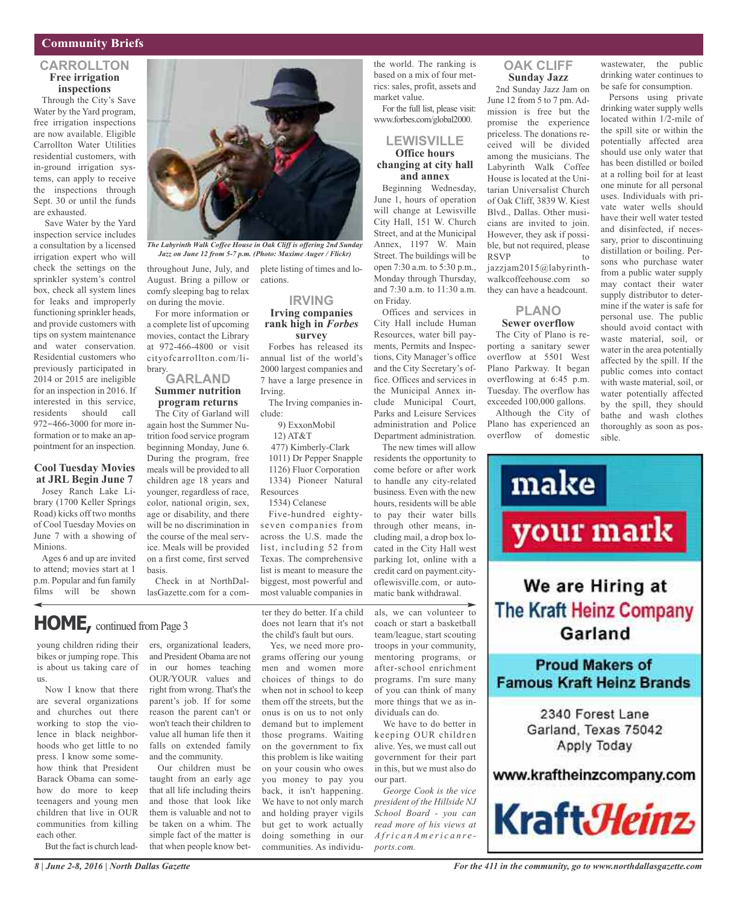### **Community Briefs**

### **CARROLLTON Free irrigation inspections**

Through the City's Save Water by the Yard program, free irrigation inspections are now available. Eligible Carrollton Water Utilities residential customers, with in-ground irrigation systems, can apply to receive the inspections through Sept. 30 or until the funds are exhausted.

Save Water by the Yard inspection service includes a consultation by a licensed irrigation expert who will check the settings on the sprinkler system's control box, check all system lines for leaks and improperly functioning sprinkler heads, and provide customers with tips on system maintenance and water conservation. Residential customers who previously participated in 2014 or 2015 are ineligible for an inspection in 2016. If interested in this service, residents should call 972-466-3000 for more information or to make an appointment for an inspection.

#### **Cool Tuesday Movies at JRL Begin June 7**

Josey Ranch Lake Library (1700 Keller Springs Road) kicks off two months of Cool Tuesday Movies on June 7 with a showing of Minions.

Ages 6 and up are invited to attend; movies start at 1 p.m. Popular and fun family films will be shown

young children riding their bikes or jumping rope. This is about us taking care of

**HOME,** continued fromPage <sup>3</sup>

Now I know that there are several organizations and churches out there working to stop the violence in black neighborhoods who get little to no press. I know some somehow think that President Barack Obama can somehow do more to keep teenagers and young men children that live in OUR communities from killing

us.

each other.



*The Labyrinth Walk Coffee House in Oak Cliff is offering 2nd Sunday Jazz on June 12 from 5-7 p.m. (Photo: Maxime Auger / Flickr)*

throughout June, July, and plete listing of times and lo-August. Bring a pillow or comfy sleeping bag to relax on during the movie.

For more information or a complete list of upcoming movies, contact the Library at 972-466-4800 or visit cityofcarrollton.com/library.

### **GARLAND Summer nutrition program returns**

The City of Garland will again host the Summer Nutrition food service program beginning Monday, June 6. During the program, free meals will be provided to all children age 18 years and younger, regardless of race, color, national origin, sex, age or disability, and there will be no discrimination in the course of the meal service. Meals will be provided on a first come, first served basis.

Check in at NorthDallasGazette.com for a com-

ers, organizational leaders, and President Obama are not in our homes teaching OUR/YOUR values and right from wrong. That's the parent's job. If for some reason the parent can't or won't teach their children to value all human life then it falls on extended family

and the community.

Our children must be taught from an early age that all life including theirs and those that look like them is valuable and not to be taken on a whim. The simple fact of the matter is that when people know bet-

cations.

### **IRVING Irving companies rank high in** *Forbes*

**survey** Forbes has released its annual list of the world's 2000 largest companies and 7 have a large presence in Irving.

The Irving companies include:

9) ExxonMobil

12) AT&T 477) Kimberly-Clark 1011) Dr Pepper Snapple 1126) Fluor Corporation 1334) Pioneer Natural

Resources 1534) Celanese

Five-hundred eightyseven companies from across the U.S. made the list, including 52 from Texas. The comprehensive list is meant to measure the biggest, most powerful and most valuable companies in

the child's fault but ours.

Yes, we need more procommunities. As individuthe world. The ranking is based on a mix of four metrics: sales, profit, assets and market value.

For the full list, please visit: www.forbes.com/global2000.

#### **LEWISVILLE Office hours changing at city hall and annex**

Beginning Wednesday, June 1, hours of operation will change at Lewisville City Hall, 151 W. Church Street, and at the Municipal Annex, 1197 W. Main Street. The buildings will be open 7:30 a.m. to 5:30 p.m., Monday through Thursday, and 7:30 a.m. to 11:30 a.m. on Friday.

Offices and services in City Hall include Human Resources, water bill payments, Permits and Inspections, City Manager's office and the City Secretary's office. Offices and services in the Municipal Annex include Municipal Court, Parks and Leisure Services administration and Police Department administration. The new times will allow

residents the opportunity to come before or after work to handle any city-related business. Even with the new hours, residents will be able to pay their water bills through other means, including mail, a drop box located in the City Hall west parking lot, online with a credit card on payment.cityoflewisville.com, or automatic bank withdrawal.

### **OAK CLIFF Sunday Jazz**

2nd Sunday Jazz Jam on June 12 from 5 to 7 pm. Admission is free but the promise the experience priceless. The donations received will be divided among the musicians. The Labyrinth Walk Coffee House is located at the Unitarian Universalist Church of Oak Cliff, 3839 W. Kiest Blvd., Dallas. Other musicians are invited to join. However, they ask if possible, but not required, please **RSVP** jazzjam2015@labyrinthwalkcoffeehouse.com so they can have a headcount.

### **PLANO Sewer overflow**

The City of Plano is reporting a sanitary sewer overflow at 5501 West Plano Parkway. It began overflowing at 6:45 p.m. Tuesday. The overflow has exceeded 100,000 gallons.

Although the City of Plano has experienced an overflow of domestic

wastewater, the public drinking water continues to be safe for consumption.

Persons using private drinking water supply wells located within 1/2-mile of the spill site or within the potentially affected area should use only water that has been distilled or boiled at a rolling boil for at least one minute for all personal uses. Individuals with private water wells should have their well water tested and disinfected, if necessary, prior to discontinuing distillation or boiling. Persons who purchase water from a public water supply may contact their water supply distributor to determine if the water is safe for personal use. The public should avoid contact with waste material, soil, or water in the area potentially affected by the spill. If the public comes into contact with waste material, soil, or water potentially affected by the spill, they should bathe and wash clothes thoroughly as soon as possible.



*8 | June 2-8, 2016 | North Dallas Gazette*

But the fact is church lead-

*For the 411 in the community, go to www.northdallasgazette.com*

ter they do better. If a child does not learn that it's not

grams offering our young men and women more choices of things to do when not in school to keep them off the streets, but the onus is on us to not only demand but to implement those programs. Waiting on the government to fix this problem is like waiting on your cousin who owes you money to pay you back, it isn't happening. We have to not only march and holding prayer vigils but get to work actually doing something in our

als, we can volunteer to coach or start a basketball team/league, start scouting troops in your community,

mentoring programs, or after-school enrichment programs. I'm sure many of you can think of many more things that we as individuals can do.

We have to do better in keeping OUR children alive. Yes, we must call out government for their part in this, but we must also do our part.

*George Cook is the vice president of the Hillside NJ School Board - you can read more of his views at A fri c a n A m e ri c a n r e ports.com.*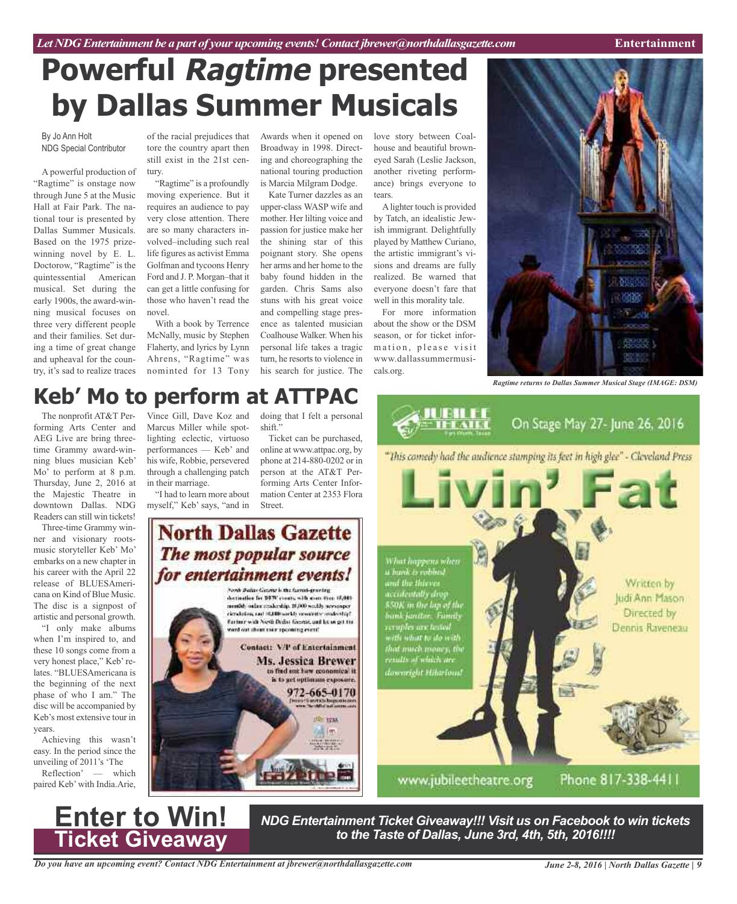## **Powerful Ragtime presented by Dallas Summer Musicals**

By Jo Ann Holt NDG Special Contributor

A powerful production of "Ragtime" is onstage now through June 5 at the Music Hall at Fair Park. The national tour is presented by Dallas Summer Musicals. Based on the 1975 prizewinning novel by E. L. Doctorow, "Ragtime" is the quintessential American musical. Set during the early 1900s, the award-winning musical focuses on three very different people and their families. Set during a time of great change and upheaval for the country, it's sad to realize traces

of the racial prejudices that tore the country apart then still exist in the 21st century.

"Ragtime" is a profoundly moving experience. But it requires an audience to pay very close attention. There are so many characters involved–including such real life figures as activist Emma Golfman and tycoons Henry Ford and J. P. Morgan–that it can get a little confusing for those who haven't read the novel.

With a book by Terrence McNally, music by Stephen Flaherty, and lyrics by Lynn Ahrens, "Ragtime" was nominted for 13 Tony

Awards when it opened on Broadway in 1998. Directing and choreographing the national touring production is Marcia Milgram Dodge.

Kate Turner dazzles as an upper-class WASP wife and mother. Her lilting voice and passion for justice make her the shining star of this poignant story. She opens her arms and her home to the baby found hidden in the garden. Chris Sams also stuns with his great voice and compelling stage presence as talented musician Coalhouse Walker. When his personal life takes a tragic turn, he resorts to violence in his search for justice. The

love story between Coalhouse and beautiful browneyed Sarah (Leslie Jackson, another riveting performance) brings everyone to tears.

Alighter touch is provided by Tatch, an idealistic Jewish immigrant. Delightfully played by Matthew Curiano, the artistic immigrant's visions and dreams are fully realized. Be warned that everyone doesn't fare that well in this morality tale.

For more information about the show or the DSM season, or for ticket information, please visit www.dallassummermusicals.org.

**JUBIL** 



*Ragtime returns to Dallas Summer Musical Stage (IMAGE: DSM)*

On Stage May 27- June 26, 2016

### Vince Gill, Dave Koz and **Keb' Mo to perform at ATTPAC**

Marcus Miller while spotlighting eclectic, virtuoso performances — Keb' and his wife, Robbie, persevered through a challenging patch

"I had to learn more about myself," Keb' says, "and in

in their marriage.

The nonprofit AT&T Performing Arts Center and AEG Live are bring threetime Grammy award-winning blues musician Keb' Mo' to perform at 8 p.m. Thursday, June 2, 2016 at the Majestic Theatre in downtown Dallas. NDG Readers can still win tickets!

Three-time Grammy winner and visionary rootsmusic storyteller Keb' Mo' embarks on a new chapter in his career with the April 22 release of BLUESAmericana on Kind of Blue Music. The disc is a signpost of artistic and personal growth.

"I only make albums when I'm inspired to, and these 10 songs come from a very honest place," Keb'relates. "BLUESAmericana is the beginning of the next phase of who I am." The disc will be accompanied by Keb's most extensive tour in years.

Achieving this wasn't easy. In the period since the unveiling of 2011's 'The

Reflection' — which paired Keb' with India.Arie,



doing that I felt a personal shift."

Ticket can be purchased, online at www.attpac.org, by phone at 214-880-0202 or in person at the AT&T Performing Arts Center Information Center at 2353 Flora Street.

### **North Dallas Gazette** The most popular source for entertainment events! Fords Datas Gaurie is the farmi-graving

detailler br DFS' cours with rom thin (6,00). nentih salar reakratip. 10,000 woddy sewspaper developed vetering that the chief has an actually fartner with Next Della: Gentil, and let us get the and out shows make upcoming event! Contact: V/P of Entertainment Ms. Jessica Brewer to find out how connomical it. is to get optimum exposure. 972-665-0170 **12 1711** 图 (例)

"This comedy had the audience stamping its feet in high glee" - Cleveland Press What happens when<br>a bank is robbed a bank is robb<br>and the thieve Written by accidentally drop Judi Ann Mason 850K in the lap of the<br>bank fantlor. Fourtly<br>caruples are tested<br>with what to slo with Directed by Dennis Raveneau that much money, the<br>results of which are downright Hiharloud

www.jubileetheatre.org

Phone 817-338-4411

*NDG Entertainment Ticket Giveaway!!! Visit us on Facebook to win tickets to the Taste of Dallas, June 3rd, 4th, 5th, 2016!!!!*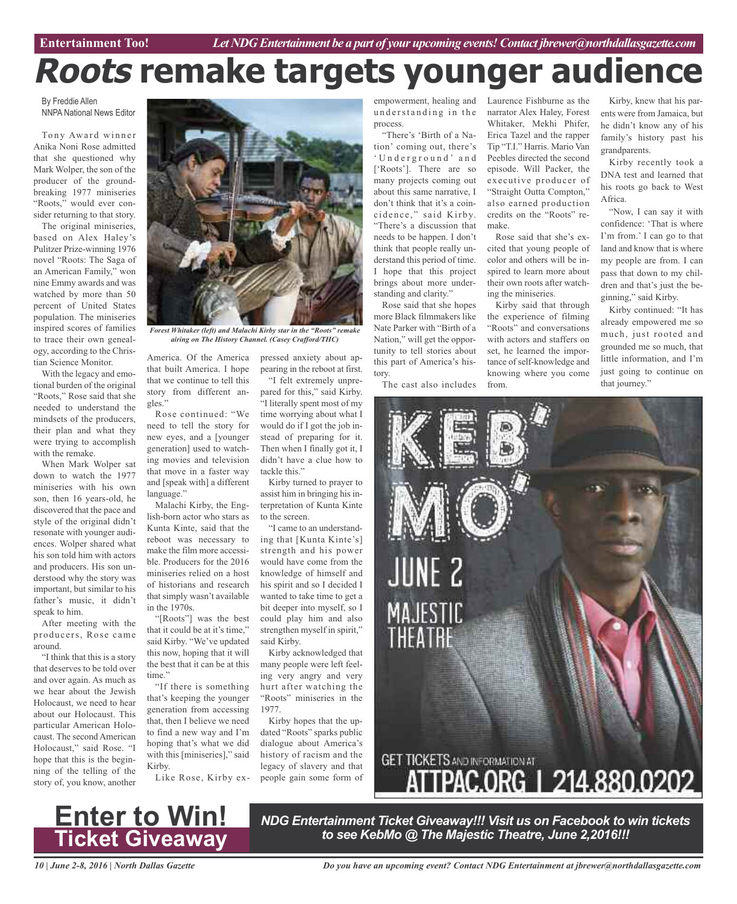# **Roots remake targets younger audience**

By Freddie Allen NNPA National News Editor

Tony Award winner Anika Noni Rose admitted that she questioned why Mark Wolper, the son of the producer of the groundbreaking 1977 miniseries "Roots," would ever consider returning to that story.

The original miniseries, based on Alex Haley's Pulitzer Prize-winning 1976 novel "Roots: The Saga of an American Family," won nine Emmy awards and was watched by more than 50 percent of United States population. The miniseries inspired scores of families to trace their own genealogy, according to the Christian Science Monitor.

With the legacy and emotional burden of the original "Roots," Rose said that she needed to understand the mindsets of the producers, their plan and what they were trying to accomplish with the remake.

When Mark Wolper sat down to watch the 1977 miniseries with his own son, then 16 years-old, he discovered that the pace and style of the original didn't resonate with younger audiences. Wolper shared what his son told him with actors and producers. His son understood why the story was important, but similar to his father's music, it didn't speak to him.

After meeting with the producers, Rose came around.

"I think that this is a story that deserves to be told over and over again. As much as we hear about the Jewish Holocaust, we need to hear about our Holocaust. This particular American Holocaust. The second American Holocaust," said Rose. "I hope that this is the beginning of the telling of the story of, you know, another



*Forest Whitaker (left) and Malachi Kirby star in the "Roots" remake airing on The History Channel. (Casey Crafford/THC)*

America. Of the America pressed anxiety about apthat built America. I hope that we continue to tell this story from different angles."

Rose continued: "We need to tell the story for new eyes, and a [younger generation] used to watching movies and television that move in a faster way and [speak with] a different language."

Malachi Kirby, the English-born actor who stars as Kunta Kinte, said that the reboot was necessary to make the film more accessible. Producers for the 2016 miniseries relied on a host of historians and research that simply wasn't available in the 1970s.

"[Roots"] was the best that it could be at it's time," said Kirby. "We've updated this now, hoping that it will the best that it can be at this time."

"If there is something that's keeping the younger generation from accessing that, then I believe we need to find a new way and I'm hoping that's what we did with this [miniseries]," said Kirby.

Like Rose, Kirby ex-

pearing in the reboot at first. "I felt extremely unpre-

pared for this," said Kirby. "I literally spent most of my time worrying about what I would do if I got the job instead of preparing for it. Then when I finally got it, I didn't have a clue how to tackle this."

Kirby turned to prayer to assist him in bringing his interpretation of Kunta Kinte to the screen.

"I came to an understanding that [Kunta Kinte's] strength and his power would have come from the knowledge of himself and his spirit and so I decided I wanted to take time to get a bit deeper into myself, so I could play him and also strengthen myself in spirit," said Kirby.

Kirby acknowledged that many people were left feeling very angry and very hurt after watching the "Roots" miniseries in the 1977.

Kirby hopes that the updated "Roots" sparks public dialogue about America's history of racism and the legacy of slavery and that people gain some form of

empowerment, healing and Laurence Fishburne as the understanding in the process.

"There's 'Birth of a Nation' coming out, there's ' U n d e r g r o u n d ' a n d ['Roots']. There are so many projects coming out about this same narrative, I don't think that it's a coincidence," said Kirby. "There's a discussion that needs to be happen. I don't think that people really understand this period of time. I hope that this project brings about more understanding and clarity." Rose said that she hopes

more Black filmmakers like Nate Parker with "Birth of a Nation," will get the opportunity to tell stories about this part of America's history.

The cast also includes

narrator Alex Haley, Forest Whitaker, Mekhi Phifer, Erica Tazel and the rapper Tip "T.I." Harris. Mario Van Peebles directed the second episode. Will Packer, the executive producer of "Straight Outta Compton," also earned production credits on the "Roots" remake.

Rose said that she's excited that young people of color and others will be inspired to learn more about their own roots after watching the miniseries.

Kirby said that through the experience of filming "Roots" and conversations with actors and staffers on set, he learned the importance of self-knowledge and knowing where you come from.

Kirby, knew that his parents were from Jamaica, but he didn't know any of his family's history past his grandparents.

Kirby recently took a DNA test and learned that his roots go back to West Africa.

"Now, I can say it with confidence: 'That is where I'm from.' I can go to that land and know that is where my people are from. I can pass that down to my children and that's just the beginning," said Kirby.

Kirby continued: "It has already empowered me so much, just rooted and grounded me so much, that little information, and I'm just going to continue on that journey."



*NDG Entertainment Ticket Giveaway!!! Visit us on Facebook to win tickets to see KebMo @ The Majestic Theatre, June 2,2016!!!*

*10 | June 2-8, 2016 | North Dallas Gazette*

**Enter to Win!**

**Ticket Giveaway**

*Do you have an upcoming event? Contact NDG Entertainment at jbrewer@northdallasgazette.com*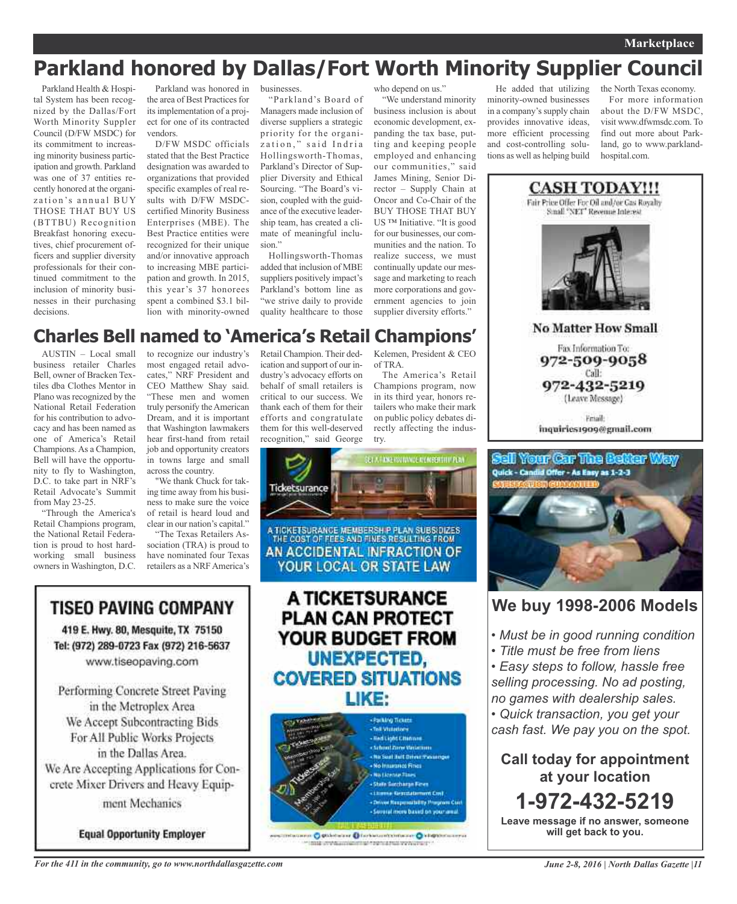## **Parkland honored by Dallas/Fort Worth Minority Supplier Council**

Parkland Health & Hospital System has been recognized by the Dallas/Fort Worth Minority Suppler Council (D/FW MSDC) for its commitment to increasing minority business participation and growth. Parkland was one of 37 entities recently honored at the organization's annual BUY THOSE THAT BUY US (BTTBU) Recognition Breakfast honoring executives, chief procurement officers and supplier diversity professionals for their continued commitment to the inclusion of minority businesses in their purchasing decisions.

Parkland was honored in the area of Best Practices for its implementation of a project for one of its contracted vendors.

D/FW MSDC officials stated that the Best Practice designation was awarded to organizations that provided specific examples of real results with D/FW MSDCcertified Minority Business Enterprises (MBE). The Best Practice entities were recognized for their unique and/or innovative approach to increasing MBE participation and growth. In 2015, this year's 37 honorees spent a combined \$3.1 billion with minority-owned

businesses.

"Parkland's Board of Managers made inclusion of diverse suppliers a strategic priority for the organization," said Indria Hollingsworth-Thomas, Parkland's Director of Supplier Diversity and Ethical Sourcing. "The Board's vision, coupled with the guidance of the executive leadership team, has created a climate of meaningful inclusion"

Hollingsworth-Thomas added that inclusion of MBE suppliers positively impact's Parkland's bottom line as "we strive daily to provide quality healthcare to those who depend on us."

"We understand minority business inclusion is about economic development, expanding the tax base, putting and keeping people employed and enhancing our communities," said James Mining, Senior Director – Supply Chain at Oncor and Co-Chair of the BUY THOSE THAT BUY US ™ Initiative. "It is good for our businesses, our communities and the nation. To realize success, we must continually update our message and marketing to reach more corporations and government agencies to join supplier diversity efforts."

He added that utilizing minority-owned businesses in a company's supply chain provides innovative ideas, more efficient processing and cost-controlling solutions as well as helping build

the North Texas economy. For more information about the D/FW MSDC, visit www.dfwmsdc.com. To find out more about Parkland, go to www.parklandhospital.com



**No Matter How Small** 

Fax Information To: 972-509-9058 Call:

972-432-5219 (Leave Message)

Friail: inquiries1909@gmail.com



### **We buy 1998-2006 Models**

*• Must be in good running condition*

*• Title must be free from liens*

*• Easy steps to follow, hassle free selling processing. No ad posting, no games with dealership sales. • Quick transaction, you get your cash fast. We pay you on the spot.*

**Call today for appointment at your location 1-972-432-5219 Leave message if no answer, someone**

**will get back to you.**

### **Charles Bell named to 'America's Retail Champions'**

AUSTIN – Local small business retailer Charles Bell, owner of Bracken Textiles dba Clothes Mentor in Plano was recognized by the National Retail Federation for his contribution to advocacy and has been named as one of America's Retail Champions.As a Champion, Bell will have the opportunity to fly to Washington, D.C. to take part in NRF's Retail Advocate's Summit from May 23-25.

"Through the America's Retail Champions program, the National Retail Federation is proud to host hardworking small business owners in Washington, D.C.

to recognize our industry's most engaged retail advocates," NRF President and CEO Matthew Shay said. "These men and women truly personify the American Dream, and it is important that Washington lawmakers hear first-hand from retail job and opportunity creators in towns large and small across the country.

"We thank Chuck for taking time away from his business to make sure the voice of retail is heard loud and clear in our nation's capital."

"The Texas Retailers Association (TRA) is proud to have nominated four Texas retailers as a NRF America's

Retail Champion. Their dedication and support of our industry's advocacy efforts on behalf of small retailers is critical to our success. We thank each of them for their efforts and congratulate them for this well-deserved recognition," said George

Kelemen, President & CEO of TRA. The America's Retail

Champions program, now in its third year, honors retailers who make their mark on public policy debates directly affecting the industry.

ET A FRAG FOURNIGE ALEMENTATIV PEN



women: O Stichterand Dischargements intervention O interventional **COMMAND Capabilities and Capabilities** 



in the Metroplex Area We Accept Subcontracting Bids For All Public Works Projects in the Dallas Area. We Are Accepting Applications for Concrete Mixer Drivers and Heavy Equipment Mechanics

**Equal Opportunity Employer**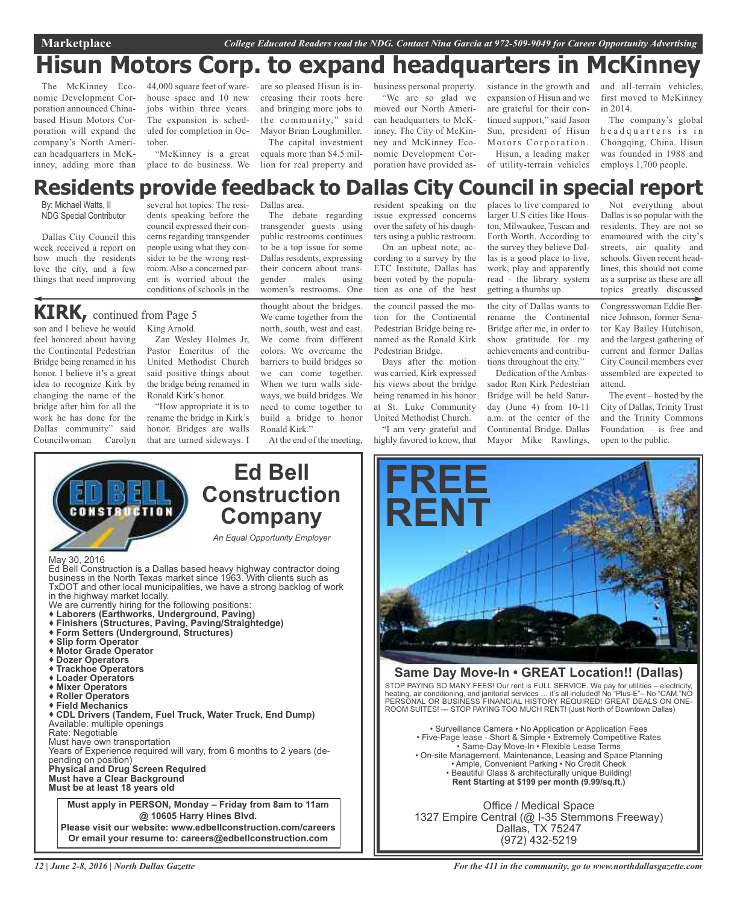## **Hisun Motors Corp. to expand headquarters in McKinney**

The McKinney Economic Development Corporation announced Chinabased Hisun Motors Corporation will expand the company's North American headquarters in McKinney, adding more than

44,000 square feet of warehouse space and 10 new jobs within three years. The expansion is scheduled for completion in October.

"McKinney is a great

are so pleased Hisun is increasing their roots here and bringing more jobs to the community," said Mayor Brian Loughmiller.

place to do business. We lion for real property and The capital investment equals more than \$4.5 mil-

> The debate regarding transgender guests using public restrooms continues to be a top issue for some Dallas residents, expressing their concern about transgender males using women's restrooms. One

business personal property. "We are so glad we moved our North American headquarters to McKinney. The City of McKinney and McKinney Economic Development Corporation have provided assistance in the growth and expansion of Hisun and we are grateful for their continued support," said Jason Sun, president of Hisun Motors Corporation. Hisun, a leading maker of utility-terrain vehicles

and all-terrain vehicles, first moved to McKinney in 2014.

The company's global h e a d quarters is in Chongqing, China. Hisun was founded in 1988 and employs 1,700 people.

### Dallas area. **Residents provide feedback to Dallas City Council in special report**

By: Michael Watts, II NDG Special Contributor

Dallas City Council this week received a report on how much the residents love the city, and a few things that need improving

several hot topics. The residents speaking before the council expressed their concerns regarding transgender people using what they consider to be the wrong restroom. Also a concerned parent is worried about the conditions of schools in the

### **KIRK,** continued from Page <sup>5</sup>

son and I believe he would King Arnold. feel honored about having the Continental Pedestrian Bridge being renamed in his honor. I believe it's a great idea to recognize Kirk by changing the name of the bridge after him for all the work he has done for the Dallas community" said Councilwoman Carolyn

Zan Wesley Holmes Jr, Pastor Emeritus of the United Methodist Church said positive things about the bridge being renamed in Ronald Kirk's honor.

"How appropriate it is to rename the bridge in Kirk's honor. Bridges are walls that are turned sideways. I

thought about the bridges. We came together from the north, south, west and east. We come from different colors. We overcame the barriers to build bridges so we can come together. When we turn walls sideways, we build bridges. We need to come together to build a bridge to honor

resident speaking on the issue expressed concerns over the safety of his daughters using a public restroom.

On an upbeat note, according to a survey by the ETC Institute, Dallas has been voted by the population as one of the best

the council passed the motion for the Continental Pedestrian Bridge being renamed as the Ronald Kirk Pedestrian Bridge.

Days after the motion was carried, Kirk expressed his views about the bridge being renamed in his honor at St. Luke Community United Methodist Church.

"I am very grateful and highly favored to know, that places to live compared to larger U.S cities like Houston, Milwaukee, Tuscan and Forth Worth. According to the survey they believe Dallas is a good place to live, work, play and apparently read - the library system getting a thumbs up.

the city of Dallas wants to rename the Continental Bridge after me, in order to show gratitude for my achievements and contributions throughout the city."

Dedication of the Ambassador Ron Kirk Pedestrian Bridge will be held Saturday (June 4) from 10-11 a.m. at the center of the Continental Bridge. Dallas Mayor Mike Rawlings,

Not everything about Dallas is so popular with the residents. They are not so enamoured with the city's streets, air quality and schools. Given recent headlines, this should not come as a surprise as these are all topics greatly discussed

Congresswoman Eddie Bernice Johnson, former Senator Kay Bailey Hutchison, and the largest gathering of current and former Dallas City Council members ever assembled are expected to attend.

The event – hosted by the City of Dallas, Trinity Trust and the Trinity Commons Foundation – is free and open to the public.

May 30, 2016 Ed Bell Construction is a Dallas based heavy highway contractor doing business in the North Texas market since 1963. With clients such as TxDOT and other local municipalities, we have a strong backlog of work we are currently hiring for the following positions: **Laborers (Earthworks, Underground, Paving) Finishers (Structures, Paving, Paving/Straightedge) Form Setters (Underground, Structures) Slip form Operator Motor Grade Operator Dozer Operators Trackhoe Operators Loader Operators Mixer Operators Roller Operators Field Mechanics CDL Drivers (Tandem, Fuel Truck, Water Truck, End Dump)** Available: multiple openings Rate: Negotiable Must have own transportation Years of Experience required will vary, from 6 months to 2 years (depending on position) **Physical and Drug Screen Required Must have a Clear Background Must be at least 18 years old Ed Bell Construction Company** *An Equal Opportunity Employer* **Must apply in PERSON, Monday – Friday from 8am to 11am @ 10605 Harry Hines Blvd. Please visit our website: www.edbellconstruction.com/careers Or email your resume to: careers@edbellconstruction.com**



### **Same Day Move-In • GREAT Location!! (Dallas)**

STOP PAYING SO MANY FEES! Our rent is FULL SERVICE. We pay for utilities – electricity, heating, air conditioning, and janitorial services … it's all included! No "Plus-E"– No "CAM."NO PERSONAL OR BUSINESS FINANCIAL HISTORY REQUIRED! GREAT DEALS ON ONE-ROOM SUITES! --- STOP PAYING TOO MUCH RENT! (Just North of Downtown Dallas)

• Surveillance Camera • No Application or Application Fees • Five-Page lease - Short & Simple • Extremely Competitive Rates • Same-Day Move-In • Flexible Lease Terms • On-site Management, Maintenance, Leasing and Space Planning • Ample, Convenient Parking • No Credit Check • Beautiful Glass & architecturally unique Building! **Rent Starting at \$199 per month (9.99/sq.ft.)**

Office / Medical Space 1327 Empire Central (@ I-35 Stemmons Freeway) Dallas, TX 75247 (972) 432-5219

Ronald Kirk." At the end of the meeting,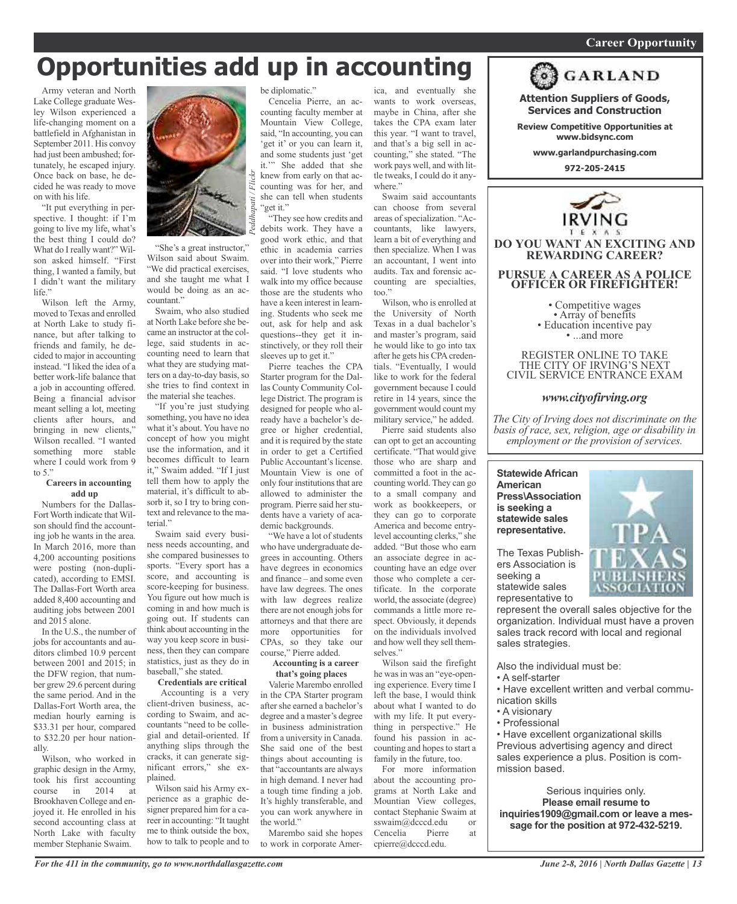### *On a quest for qualified candidates? Contact Nina Garcia at 972-509-9049* **Career Opportunity**

## **Opportunities add up in accounting**

Army veteran and North Lake College graduate Wesley Wilson experienced a life-changing moment on a battlefield in Afghanistan in September 2011. His convoy had just been ambushed; fortunately, he escaped injury. Once back on base, he decided he was ready to move on with his life.

"It put everything in perspective. I thought: if I'm going to live my life, what's the best thing I could do? What do I really want?" Wilson asked himself. "First thing, I wanted a family, but I didn't want the military life."

Wilson left the Army, moved to Texas and enrolled at North Lake to study finance, but after talking to friends and family, he decided to major in accounting instead. "I liked the idea of a better work-life balance that a job in accounting offered. Being a financial advisor meant selling a lot, meeting clients after hours, and bringing in new clients," Wilson recalled. "I wanted something more stable where I could work from 9 to 5."

#### **Careers in accounting add up**

Numbers for the Dallas-Fort Worth indicate that Wilson should find the accounting job he wants in the area. In March 2016, more than 4,200 accounting positions were posting (non-duplicated), according to EMSI. The Dallas-Fort Worth area added 8,400 accounting and auditing jobs between 2001 and 2015 alone.

In the U.S., the number of jobs for accountants and auditors climbed 10.9 percent between 2001 and 2015; in the DFW region, that number grew 29.6 percent during the same period. And in the Dallas-Fort Worth area, the median hourly earning is \$33.31 per hour, compared to \$32.20 per hour nationally.

Wilson, who worked in graphic design in the Army, took his first accounting<br>course in 2014 at course in 2014 at Brookhaven College and enjoyed it. He enrolled in his second accounting class at North Lake with faculty member Stephanie Swaim.



"She's a great instructor," Wilson said about Swaim. "We did practical exercises, and she taught me what I would be doing as an accountant."

Swaim, who also studied at North Lake before she became an instructor at the college, said students in accounting need to learn that what they are studying matters on a day-to-day basis, so she tries to find context in the material she teaches.

"If you're just studying something, you have no idea what it's about. You have no concept of how you might use the information, and it becomes difficult to learn it," Swaim added. "If I just tell them how to apply the material, it's difficult to absorb it, so I try to bring context and relevance to the material."

Swaim said every business needs accounting, and she compared businesses to sports. "Every sport has a score, and accounting is score-keeping for business. You figure out how much is coming in and how much is going out. If students can think about accounting in the way you keep score in business, then they can compare statistics, just as they do in baseball," she stated.

#### **Credentials are critical**

Accounting is a very client-driven business, according to Swaim, and accountants "need to be collegial and detail-oriented. If anything slips through the cracks, it can generate significant errors," she explained.

Wilson said his Army experience as a graphic designer prepared him for a career in accounting: "It taught me to think outside the box, how to talk to people and to be diplomatic."

Cencelia Pierre, an accounting faculty member at Mountain View College, said, "In accounting, you can 'get it' or you can learn it, and some students just 'get it.'" She added that she knew from early on that accounting was for her, and she can tell when students "get it."

"They see how credits and debits work. They have a good work ethic, and that ethic in academia carries over into their work," Pierre said. "I love students who walk into my office because those are the students who have a keen interest in learning. Students who seek me out, ask for help and ask questions--they get it instinctively, or they roll their sleeves up to get it."

Pierre teaches the CPA Starter program for the Dallas County Community College District. The program is designed for people who already have a bachelor's degree or higher credential, and it is required by the state in order to get a Certified Public Accountant's license. Mountain View is one of only four institutions that are allowed to administer the program. Pierre said her students have a variety of academic backgrounds.

"We have a lot of students who have undergraduate degrees in accounting. Others have degrees in economics and finance – and some even have law degrees. The ones with law degrees realize there are not enough jobs for attorneys and that there are more opportunities for CPAs, so they take our course," Pierre added.

#### **Accounting is a career that's going places**

Valerie Marembo enrolled in the CPA Starter program after she earned a bachelor's degree and a master's degree in business administration from a university in Canada. She said one of the best things about accounting is that "accountants are always in high demand. I never had a tough time finding a job. It's highly transferable, and you can work anywhere in the world."

Marembo said she hopes to work in corporate Amer-

ica, and eventually she wants to work overseas, maybe in China, after she takes the CPA exam later this year. "I want to travel, and that's a big sell in accounting," she stated. "The work pays well, and with little tweaks, I could do it anywhere."

Swaim said accountants can choose from several areas of specialization. "Accountants, like lawyers, learn a bit of everything and then specialize. When I was an accountant, I went into audits. Tax and forensic accounting are specialties, too."

Wilson, who is enrolled at the University of North Texas in a dual bachelor's and master's program, said he would like to go into tax after he gets his CPA credentials. "Eventually, I would like to work for the federal government because I could retire in 14 years, since the government would count my military service," he added.

Pierre said students also can opt to get an accounting certificate. "That would give those who are sharp and committed a foot in the accounting world. They can go to a small company and work as bookkeepers, or they can go to corporate America and become entrylevel accounting clerks," she added. "But those who earn an associate degree in accounting have an edge over those who complete a certificate. In the corporate world, the associate (degree) commands a little more respect. Obviously, it depends on the individuals involved and how well they sell themselves."

Wilson said the firefight he was in was an "eye-opening experience. Every time I left the base, I would think about what I wanted to do with my life. It put everything in perspective." He found his passion in accounting and hopes to start a family in the future, too.

For more information about the accounting programs at North Lake and Mountian View colleges, contact Stephanie Swaim at sswaim@dcccd.edu or Cencelia Pierre at cpierre@dcccd.edu.



**Attention Suppliers of Goods, Services and Construction**

**Review Competitive Opportunities at www.bidsync.com**

**www.garlandpurchasing.com**

**972-205-2415**



• Competitive wages<br>• Array of benefits<br>• Education incentive pay<br>• ...and more

REGISTER ONLINE TO TAKE THE CITY OF IRVING'S NEXT CIVIL SERVICE ENTRANCE EXAM

### *www.cityofirving.org*

*The City of Irving does not discriminate on the basis of race, sex, religion, age or disability in employment or the provision of services.*

#### **Statewide African American Press\Association is seeking a statewide sales representative.**

The Texas Publishers Association is seeking a statewide sales representative to

represent the overall sales objective for the organization. Individual must have a proven sales track record with local and regional sales strategies.

Also the individual must be:

- A self-starter
- Have excellent written and verbal communication skills
- A visionary
- Professional

• Have excellent organizational skills Previous advertising agency and direct sales experience a plus. Position is commission based.

Serious inquiries only. **Please email resume to inquiries1909@gmail.com or leave a message for the position at 972-432-5219.**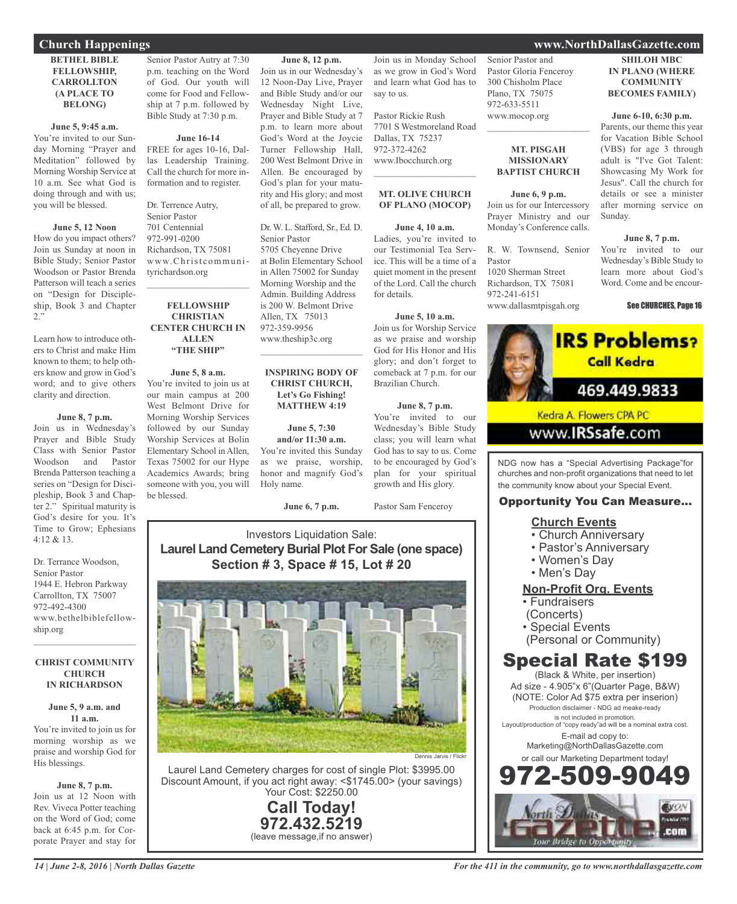### **BETHEL BIBLE FELLOWSHIP, CARROLLTON (A PLACE TO BELONG)**

#### **June 5, 9:45 a.m.**

You're invited to our Sunday Morning "Prayer and Meditation" followed by Morning Worship Service at 10 a.m. See what God is doing through and with us; you will be blessed.

#### **June 5, 12 Noon**

How do you impact others? Join us Sunday at noon in Bible Study; Senior Pastor Woodson or Pastor Brenda Patterson will teach a series on "Design for Discipleship, Book 3 and Chapter 2."

Learn how to introduce others to Christ and make Him known to them; to help others know and grow in God's word; and to give others clarity and direction.

#### **June 8, 7 p.m.**

Join us in Wednesday's Prayer and Bible Study Class with Senior Pastor Woodson and Pastor Brenda Patterson teaching a series on "Design for Discipleship, Book 3 and Chapter 2." Spiritual maturity is God's desire for you. It's Time to Grow; Ephesians  $4.12 & 8.13$ 

Dr. Terrance Woodson, Senior Pastor 1944 E. Hebron Parkway Carrollton, TX 75007 972-492-4300 www.bethelbiblefellowship.org

#### **CHRIST COMMUNITY CHURCH IN RICHARDSON**

 $\mathcal{L}=\mathcal{L}^{\mathcal{L}}$  , where  $\mathcal{L}^{\mathcal{L}}$  , we have the set of the set of the set of the set of the set of the set of the set of the set of the set of the set of the set of the set of the set of the set of the set of

#### **June 5, 9 a.m. and 11 a.m.**

You're invited to join us for morning worship as we praise and worship God for His blessings.

#### **June 8, 7 p.m.**

Join us at 12 Noon with Rev. Viveca Potter teaching on the Word of God; come back at 6:45 p.m. for Corporate Prayer and stay for

### **June 16-14**

FREE for ages 10-16, Dallas Leadership Training. Call the church for more information and to register.

Dr. Terrence Autry, Senior Pastor 701 Centennial 972-991-0200 Richardson, TX 75081 www.Christcommunityrichardson.org

#### **FELLOWSHIP CHRISTIAN CENTER CHURCH IN ALLEN "THE SHIP"**

 $\mathcal{L}_\text{max}$  , which is a set of the set of the set of the set of the set of the set of the set of the set of the set of the set of the set of the set of the set of the set of the set of the set of the set of the set of

**June 5, 8 a.m.** You're invited to join us at our main campus at 200 West Belmont Drive for Morning Worship Services followed by our Sunday Worship Services at Bolin Elementary School in Allen, Texas 75002 for our Hype Academics Awards; bring someone with you, you will be blessed.

**June 6, 7 p.m.**

Holy name.

**June 8, 12 p.m.** Join us in our Wednesday's 12 Noon-Day Live, Prayer and Bible Study and/or our Wednesday Night Live, Prayer and Bible Study at 7 p.m. to learn more about God's Word at the Joycie Turner Fellowship Hall, 200 West Belmont Drive in Allen. Be encouraged by God's plan for your maturity and His glory; and most of all, be prepared to grow.

Dr. W. L. Stafford, Sr., Ed. D.

 $\overline{\phantom{a}}$  , and the set of the set of the set of the set of the set of the set of the set of the set of the set of the set of the set of the set of the set of the set of the set of the set of the set of the set of the s

**INSPIRING BODY OF CHRIST CHURCH, Let's Go Fishing! MATTHEW 4:19**

**June 5, 7:30 and/or 11:30 a.m.** You're invited this Sunday as we praise, worship, honor and magnify God's

5705 Cheyenne Drive at Bolin Elementary School in Allen 75002 for Sunday Morning Worship and the Admin. Building Address is 200 W. Belmont Drive Allen, TX 75013 972-359-9956 www.theship3c.org

Senior Pastor

Join us in Monday School as we grow in God's Word and learn what God has to say to us.

Pastor Rickie Rush 7701 S Westmoreland Road Dallas, TX 75237 972-372-4262 www.Ibocchurch.org  $\mathcal{L}$  , and the set of the set of the set of the set of the set of the set of the set of the set of the set of the set of the set of the set of the set of the set of the set of the set of the set of the set of the set

#### **MT. OLIVE CHURCH OF PLANO (MOCOP)**

### **June 4, 10 a.m.**

Ladies, you're invited to our Testimonial Tea Service. This will be a time of a quiet moment in the present of the Lord. Call the church for details.

#### **June 5, 10 a.m.**

Join us for Worship Service as we praise and worship God for His Honor and His glory; and don't forget to comeback at 7 p.m. for our Brazilian Church.

#### **June 8, 7 p.m.**

You're invited to our Wednesday's Bible Study class; you will learn what God has to say to us. Come to be encouraged by God's plan for your spiritual growth and His glory.

Pastor Sam Fenceroy

### Investors Liquidation Sale: **Laurel Land Cemetery Burial Plot For Sale (one space) Section # 3, Space # 15, Lot # 20**



Laurel Land Cemetery charges for cost of single Plot: \$3995.00 Discount Amount, if you act right away: <\$1745.00> (your savings) Your Cost: \$2250.00

> **Call Today! 972.432.5219** (leave message,if no answer)

Senior Pastor and Pastor Gloria Fenceroy 300 Chisholm Place Plano, TX 75075 972-633-5511 www.mocop.org

#### **MT. PISGAH MISSIONARY BAPTIST CHURCH**

 $\mathcal{L}_\text{max}$  , which is a set of the set of the set of the set of the set of the set of the set of the set of the set of the set of the set of the set of the set of the set of the set of the set of the set of the set of

#### **June 6, 9 p.m.** Join us for our Intercessory

Prayer Ministry and our Monday's Conference calls.

R. W. Townsend, Senior Pastor 1020 Sherman Street Richardson, TX 75081 972-241-6151 www.dallasmtpisgah.org

#### **SHILOH MBC IN PLANO (WHERE COMMUNITY BECOMES FAMILY)**

#### **June 6-10, 6:30 p.m.**

Parents, our theme this year for Vacation Bible School (VBS) for age 3 through adult is "I've Got Talent: Showcasing My Work for Jesus". Call the church for details or see a minister after morning service on Sunday.

#### **June 8, 7 p.m.**

You're invited to our Wednesday's Bible Study to learn more about God's Word. Come and be encour-

#### See CHURCHES, Page 16



Kedra A. Flowers CPA PC

### www.**IRSsafe**.com

NDG now has a "Special Advertising Package"for churches and non-profit organizations that need to let the community know about your Special Event.

### Opportunity You Can Measure...

### **Church Events**

- Church Anniversary
- Pastor's Anniversary
- Women's Day
- Men's Day

### **Non-Profit Org. Events**

- Fundraisers
- (Concerts)
- Special Events
- (Personal or Community)

### Special Rate \$199

(Black & White, per insertion) Ad size - 4.905"x 6"(Quarter Page, B&W) (NOTE: Color Ad \$75 extra per inserion) Production disclaimer - NDG ad meake-ready is not included in promotion. Layout/production of "copy ready"ad will be a nominal extra cost. E-mail ad copy to: Marketing@NorthDallasGazette.com or call our Marketing Department today! 972-509-9049



### **Church Happenings www.NorthDallasGazette.com**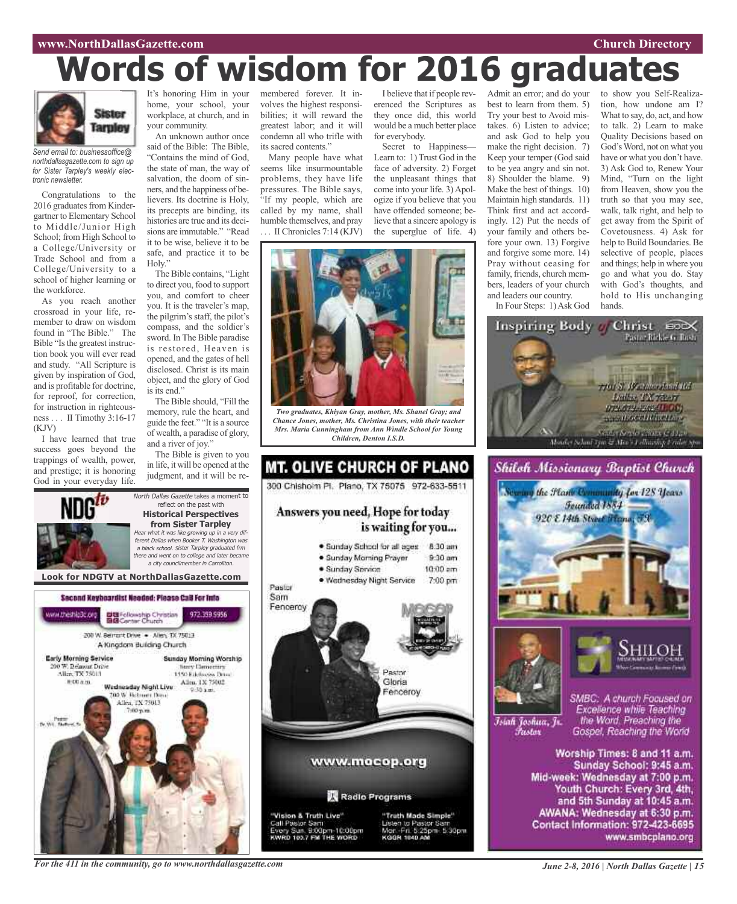### **www.NorthDallasGazette.com Church Directory**

# **Words of wisdom for 2016 graduates**



*Send email to: businessoffice@ northdallasgazette.com to sign up for Sister Tarpley's weekly electronic newsletter.*

Congratulations to the 2016 graduates from Kindergartner to Elementary School to Middle/Junior High School; from High School to a College/University or Trade School and from a College/University to a school of higher learning or the workforce.

As you reach another crossroad in your life, remember to draw on wisdom found in "The Bible." The Bible "Is the greatest instruction book you will ever read and study. "All Scripture is given by inspiration of God, and is profitable for doctrine, for reproof, for correction, for instruction in righteousness . . . II Timothy 3:16-17  $(KIV)$ 

I have learned that true success goes beyond the trappings of wealth, power, and prestige; it is honoring God in your everyday life.

It's honoring Him in your home, your school, your workplace, at church, and in your community.

An unknown author once said of the Bible: The Bible, "Contains the mind of God, the state of man, the way of salvation, the doom of sinners, and the happiness of believers. Its doctrine is Holy, its precepts are binding, its histories are true and its decisions are immutable." "Read it to be wise, believe it to be safe, and practice it to be Holy."

The Bible contains, "Light to direct you, food to support you, and comfort to cheer you. It is the traveler's map, the pilgrim's staff, the pilot's compass, and the soldier's sword. In The Bible paradise is restored, Heaven is opened, and the gates of hell disclosed. Christ is its main object, and the glory of God is its end."

The Bible should, "Fill the memory, rule the heart, and guide the feet." "It is a source of wealth, a paradise of glory, and a river of joy."

The Bible is given to you in life, it will be opened at the judgment, and it will be re-

North Dallas Gazette takes a moment to reflect on the past with **Historical Perspectives from Sister Tarpley** Hear what it was like growing up in <sup>a</sup> very different Dallas when Booker T. Washington was <sup>a</sup> black school. Sister Tarpley graduated frm there and went on to college and later became <sup>a</sup> city councilmember in Carrollton.

membered forever. It involves the highest responsibilities; it will reward the greatest labor; and it will condemn all who trifle with its sacred contents."

Many people have what seems like insurmountable problems, they have life pressures. The Bible says, "If my people, which are called by my name, shall humble themselves, and pray . . . II Chronicles 7:14 (KJV)

I believe that if people reverenced the Scriptures as they once did, this world would be a much better place for everybody.

Secret to Happiness— Learn to: 1) Trust God in the face of adversity. 2) Forget the unpleasant things that come into your life. 3) Apologize if you believe that you have offended someone; believe that a sincere apology is the superglue of life. 4)



*Two graduates, Khiyan Gray, mother, Ms. Shanel Gray; and Chance Jones, mother, Ms. Christina Jones, with their teacher Mrs. Maria Cunningham from Ann Windle School for Young Children, Denton I.S.D.*



Admit an error; and do your best to learn from them. 5) Try your best to Avoid mistakes. 6) Listen to advice; and ask God to help you make the right decision. 7) Keep your temper (God said to be yea angry and sin not. 8) Shoulder the blame. 9) Make the best of things. 10) Maintain high standards. 11) Think first and act accordingly. 12) Put the needs of your family and others before your own. 13) Forgive and forgive some more. 14) Pray without ceasing for family, friends, church members, leaders of your church and leaders our country. In Four Steps: 1)Ask God

to show you Self-Realization, how undone am I? What to say, do, act, and how to talk. 2) Learn to make Quality Decisions based on God'sWord, not on what you have or what you don't have. 3) Ask God to, Renew Your Mind, "Turn on the light from Heaven, show you the truth so that you may see, walk, talk right, and help to get away from the Spirit of Covetousness. 4) Ask for help to Build Boundaries. Be selective of people, places and things; help in where you go and what you do. Stay with God's thoughts, and hold to His unchanging hands.







Īsiah Joshua, Jr. Fustor

SMBC: A church Focused on Excellence while Teaching the Word. Preaching the Gospel, Reaching the World

Worship Times: 8 and 11 a.m. Sunday School: 9:45 a.m. Mid-week: Wednesday at 7:00 p.m. Youth Church: Every 3rd, 4th, and 5th Sunday at 10:45 a.m. AWANA: Wednesday at 6:30 p.m. Contact Information: 972-423-6695 www.smbcplano.org

**Look for NDGTV at NorthDallasGazette.com**Second Keyboardist Needed: Please CaB For Info DE Fellowship Christian<br>BIB Center Church ww.theship3c.org 972.359.9956 200 W. Bernsht Drive . - Allen, TX 75013 A Kingdom Building Church Early Morning Service Sunday Morning Worship 0 W. Belmunt Drive **Novy Demectors** Alice TX 75013 1450 Ethnologies Detroit # 00 a.m. Allen, 1X 75002 Wadnasday Night Live **DO W. Retroem Days** Allen, TX 75013 Tv. Wit., Theft

*For the 411 in the community, go to www.northdallasgazette.com*